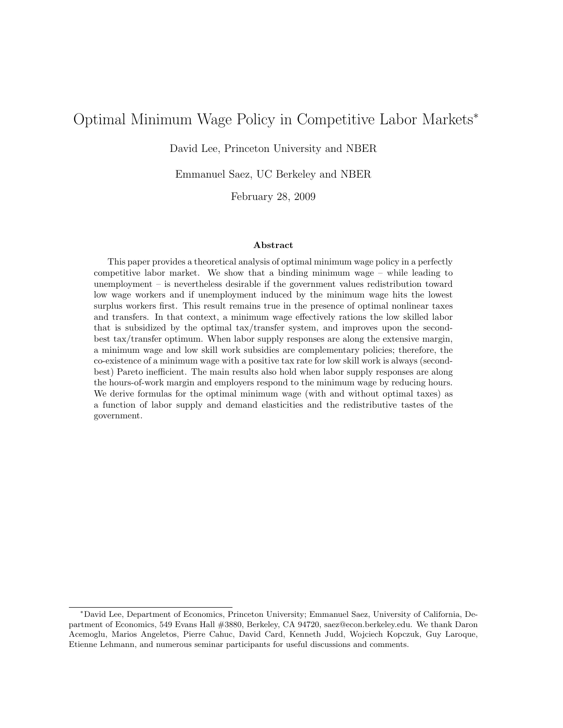# Optimal Minimum Wage Policy in Competitive Labor Markets<sup>∗</sup>

David Lee, Princeton University and NBER

Emmanuel Saez, UC Berkeley and NBER

February 28, 2009

#### Abstract

This paper provides a theoretical analysis of optimal minimum wage policy in a perfectly competitive labor market. We show that a binding minimum wage – while leading to unemployment – is nevertheless desirable if the government values redistribution toward low wage workers and if unemployment induced by the minimum wage hits the lowest surplus workers first. This result remains true in the presence of optimal nonlinear taxes and transfers. In that context, a minimum wage effectively rations the low skilled labor that is subsidized by the optimal tax/transfer system, and improves upon the secondbest tax/transfer optimum. When labor supply responses are along the extensive margin, a minimum wage and low skill work subsidies are complementary policies; therefore, the co-existence of a minimum wage with a positive tax rate for low skill work is always (secondbest) Pareto inefficient. The main results also hold when labor supply responses are along the hours-of-work margin and employers respond to the minimum wage by reducing hours. We derive formulas for the optimal minimum wage (with and without optimal taxes) as a function of labor supply and demand elasticities and the redistributive tastes of the government.

<sup>∗</sup>David Lee, Department of Economics, Princeton University; Emmanuel Saez, University of California, Department of Economics, 549 Evans Hall #3880, Berkeley, CA 94720, saez@econ.berkeley.edu. We thank Daron Acemoglu, Marios Angeletos, Pierre Cahuc, David Card, Kenneth Judd, Wojciech Kopczuk, Guy Laroque, Etienne Lehmann, and numerous seminar participants for useful discussions and comments.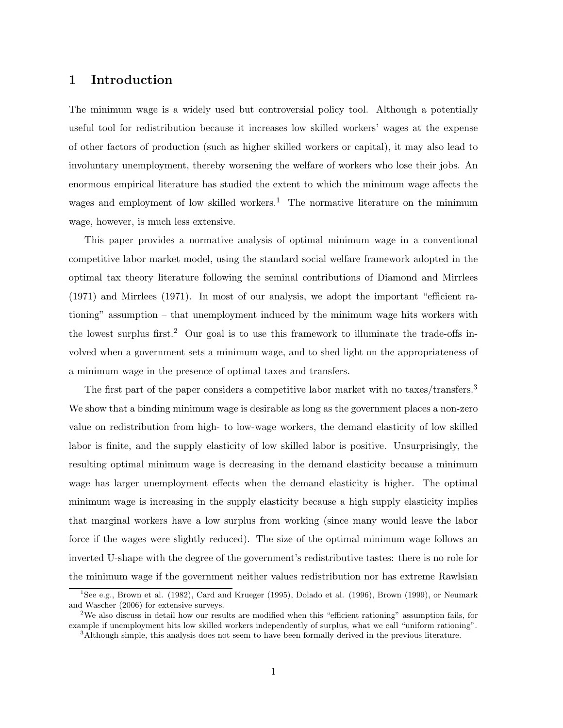# 1 Introduction

The minimum wage is a widely used but controversial policy tool. Although a potentially useful tool for redistribution because it increases low skilled workers' wages at the expense of other factors of production (such as higher skilled workers or capital), it may also lead to involuntary unemployment, thereby worsening the welfare of workers who lose their jobs. An enormous empirical literature has studied the extent to which the minimum wage affects the wages and employment of low skilled workers.<sup>1</sup> The normative literature on the minimum wage, however, is much less extensive.

This paper provides a normative analysis of optimal minimum wage in a conventional competitive labor market model, using the standard social welfare framework adopted in the optimal tax theory literature following the seminal contributions of Diamond and Mirrlees (1971) and Mirrlees (1971). In most of our analysis, we adopt the important "efficient rationing" assumption – that unemployment induced by the minimum wage hits workers with the lowest surplus first.<sup>2</sup> Our goal is to use this framework to illuminate the trade-offs involved when a government sets a minimum wage, and to shed light on the appropriateness of a minimum wage in the presence of optimal taxes and transfers.

The first part of the paper considers a competitive labor market with no taxes/transfers.<sup>3</sup> We show that a binding minimum wage is desirable as long as the government places a non-zero value on redistribution from high- to low-wage workers, the demand elasticity of low skilled labor is finite, and the supply elasticity of low skilled labor is positive. Unsurprisingly, the resulting optimal minimum wage is decreasing in the demand elasticity because a minimum wage has larger unemployment effects when the demand elasticity is higher. The optimal minimum wage is increasing in the supply elasticity because a high supply elasticity implies that marginal workers have a low surplus from working (since many would leave the labor force if the wages were slightly reduced). The size of the optimal minimum wage follows an inverted U-shape with the degree of the government's redistributive tastes: there is no role for the minimum wage if the government neither values redistribution nor has extreme Rawlsian

<sup>&</sup>lt;sup>1</sup>See e.g., Brown et al. (1982), Card and Krueger (1995), Dolado et al. (1996), Brown (1999), or Neumark and Wascher (2006) for extensive surveys.

<sup>&</sup>lt;sup>2</sup>We also discuss in detail how our results are modified when this "efficient rationing" assumption fails, for example if unemployment hits low skilled workers independently of surplus, what we call "uniform rationing".

<sup>&</sup>lt;sup>3</sup>Although simple, this analysis does not seem to have been formally derived in the previous literature.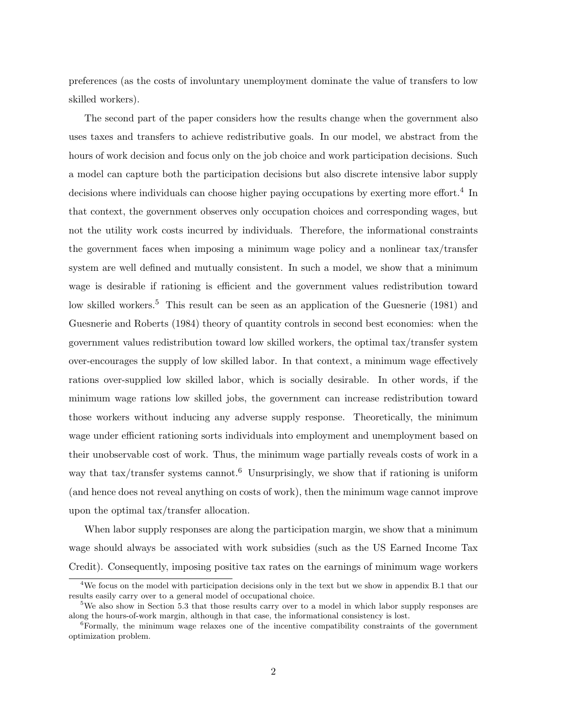preferences (as the costs of involuntary unemployment dominate the value of transfers to low skilled workers).

The second part of the paper considers how the results change when the government also uses taxes and transfers to achieve redistributive goals. In our model, we abstract from the hours of work decision and focus only on the job choice and work participation decisions. Such a model can capture both the participation decisions but also discrete intensive labor supply decisions where individuals can choose higher paying occupations by exerting more effort.<sup>4</sup> In that context, the government observes only occupation choices and corresponding wages, but not the utility work costs incurred by individuals. Therefore, the informational constraints the government faces when imposing a minimum wage policy and a nonlinear tax/transfer system are well defined and mutually consistent. In such a model, we show that a minimum wage is desirable if rationing is efficient and the government values redistribution toward low skilled workers.<sup>5</sup> This result can be seen as an application of the Guesnerie (1981) and Guesnerie and Roberts (1984) theory of quantity controls in second best economies: when the government values redistribution toward low skilled workers, the optimal tax/transfer system over-encourages the supply of low skilled labor. In that context, a minimum wage effectively rations over-supplied low skilled labor, which is socially desirable. In other words, if the minimum wage rations low skilled jobs, the government can increase redistribution toward those workers without inducing any adverse supply response. Theoretically, the minimum wage under efficient rationing sorts individuals into employment and unemployment based on their unobservable cost of work. Thus, the minimum wage partially reveals costs of work in a way that tax/transfer systems cannot.<sup>6</sup> Unsurprisingly, we show that if rationing is uniform (and hence does not reveal anything on costs of work), then the minimum wage cannot improve upon the optimal tax/transfer allocation.

When labor supply responses are along the participation margin, we show that a minimum wage should always be associated with work subsidies (such as the US Earned Income Tax Credit). Consequently, imposing positive tax rates on the earnings of minimum wage workers

<sup>4</sup>We focus on the model with participation decisions only in the text but we show in appendix B.1 that our results easily carry over to a general model of occupational choice.

<sup>&</sup>lt;sup>5</sup>We also show in Section 5.3 that those results carry over to a model in which labor supply responses are along the hours-of-work margin, although in that case, the informational consistency is lost.

<sup>&</sup>lt;sup>6</sup>Formally, the minimum wage relaxes one of the incentive compatibility constraints of the government optimization problem.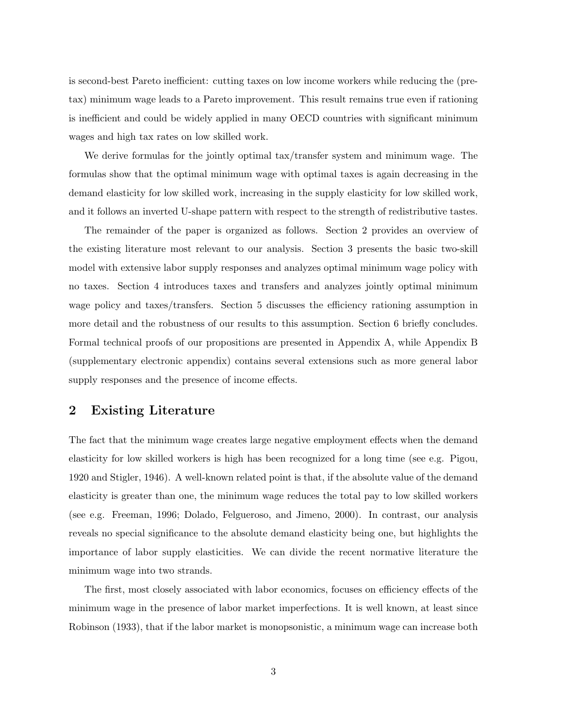is second-best Pareto inefficient: cutting taxes on low income workers while reducing the (pretax) minimum wage leads to a Pareto improvement. This result remains true even if rationing is inefficient and could be widely applied in many OECD countries with significant minimum wages and high tax rates on low skilled work.

We derive formulas for the jointly optimal tax/transfer system and minimum wage. The formulas show that the optimal minimum wage with optimal taxes is again decreasing in the demand elasticity for low skilled work, increasing in the supply elasticity for low skilled work, and it follows an inverted U-shape pattern with respect to the strength of redistributive tastes.

The remainder of the paper is organized as follows. Section 2 provides an overview of the existing literature most relevant to our analysis. Section 3 presents the basic two-skill model with extensive labor supply responses and analyzes optimal minimum wage policy with no taxes. Section 4 introduces taxes and transfers and analyzes jointly optimal minimum wage policy and taxes/transfers. Section 5 discusses the efficiency rationing assumption in more detail and the robustness of our results to this assumption. Section 6 briefly concludes. Formal technical proofs of our propositions are presented in Appendix A, while Appendix B (supplementary electronic appendix) contains several extensions such as more general labor supply responses and the presence of income effects.

# 2 Existing Literature

The fact that the minimum wage creates large negative employment effects when the demand elasticity for low skilled workers is high has been recognized for a long time (see e.g. Pigou, 1920 and Stigler, 1946). A well-known related point is that, if the absolute value of the demand elasticity is greater than one, the minimum wage reduces the total pay to low skilled workers (see e.g. Freeman, 1996; Dolado, Felgueroso, and Jimeno, 2000). In contrast, our analysis reveals no special significance to the absolute demand elasticity being one, but highlights the importance of labor supply elasticities. We can divide the recent normative literature the minimum wage into two strands.

The first, most closely associated with labor economics, focuses on efficiency effects of the minimum wage in the presence of labor market imperfections. It is well known, at least since Robinson (1933), that if the labor market is monopsonistic, a minimum wage can increase both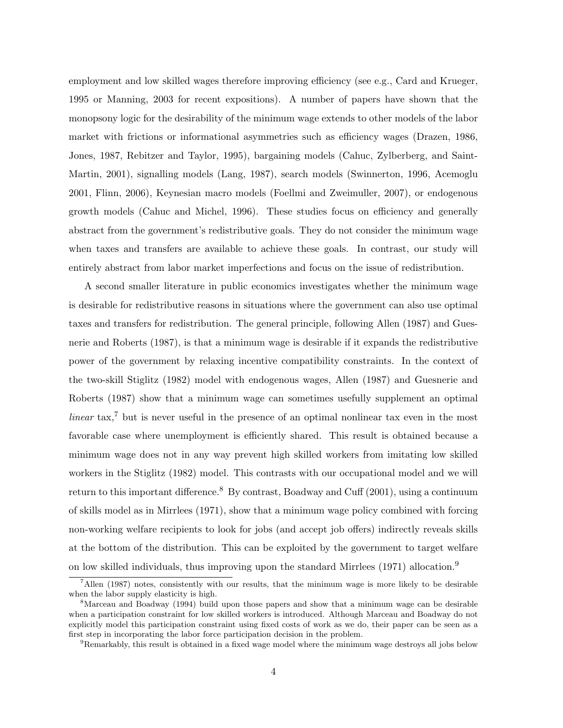employment and low skilled wages therefore improving efficiency (see e.g., Card and Krueger, 1995 or Manning, 2003 for recent expositions). A number of papers have shown that the monopsony logic for the desirability of the minimum wage extends to other models of the labor market with frictions or informational asymmetries such as efficiency wages (Drazen, 1986, Jones, 1987, Rebitzer and Taylor, 1995), bargaining models (Cahuc, Zylberberg, and Saint-Martin, 2001), signalling models (Lang, 1987), search models (Swinnerton, 1996, Acemoglu 2001, Flinn, 2006), Keynesian macro models (Foellmi and Zweimuller, 2007), or endogenous growth models (Cahuc and Michel, 1996). These studies focus on efficiency and generally abstract from the government's redistributive goals. They do not consider the minimum wage when taxes and transfers are available to achieve these goals. In contrast, our study will entirely abstract from labor market imperfections and focus on the issue of redistribution.

A second smaller literature in public economics investigates whether the minimum wage is desirable for redistributive reasons in situations where the government can also use optimal taxes and transfers for redistribution. The general principle, following Allen (1987) and Guesnerie and Roberts (1987), is that a minimum wage is desirable if it expands the redistributive power of the government by relaxing incentive compatibility constraints. In the context of the two-skill Stiglitz (1982) model with endogenous wages, Allen (1987) and Guesnerie and Roberts (1987) show that a minimum wage can sometimes usefully supplement an optimal *linear* tax,<sup>7</sup> but is never useful in the presence of an optimal nonlinear tax even in the most favorable case where unemployment is efficiently shared. This result is obtained because a minimum wage does not in any way prevent high skilled workers from imitating low skilled workers in the Stiglitz (1982) model. This contrasts with our occupational model and we will return to this important difference.<sup>8</sup> By contrast, Boadway and Cuff  $(2001)$ , using a continuum of skills model as in Mirrlees (1971), show that a minimum wage policy combined with forcing non-working welfare recipients to look for jobs (and accept job offers) indirectly reveals skills at the bottom of the distribution. This can be exploited by the government to target welfare on low skilled individuals, thus improving upon the standard Mirrlees (1971) allocation.<sup>9</sup>

<sup>7</sup>Allen (1987) notes, consistently with our results, that the minimum wage is more likely to be desirable when the labor supply elasticity is high.

<sup>&</sup>lt;sup>8</sup>Marceau and Boadway (1994) build upon those papers and show that a minimum wage can be desirable when a participation constraint for low skilled workers is introduced. Although Marceau and Boadway do not explicitly model this participation constraint using fixed costs of work as we do, their paper can be seen as a first step in incorporating the labor force participation decision in the problem.

<sup>9</sup>Remarkably, this result is obtained in a fixed wage model where the minimum wage destroys all jobs below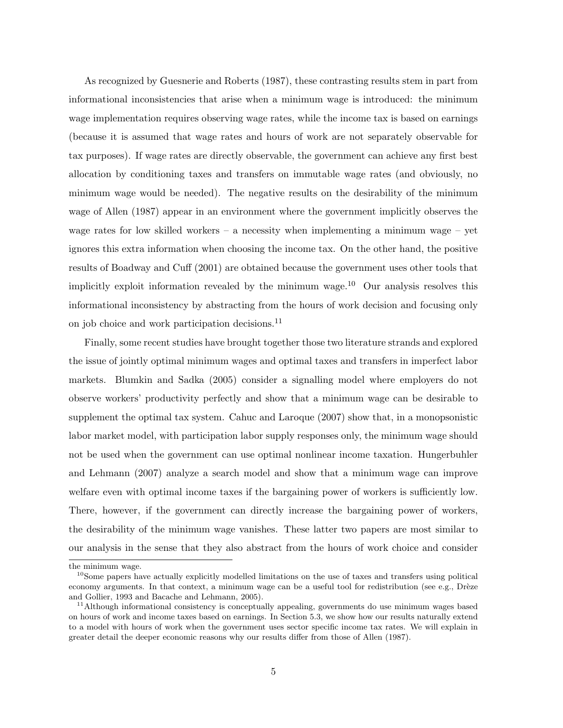As recognized by Guesnerie and Roberts (1987), these contrasting results stem in part from informational inconsistencies that arise when a minimum wage is introduced: the minimum wage implementation requires observing wage rates, while the income tax is based on earnings (because it is assumed that wage rates and hours of work are not separately observable for tax purposes). If wage rates are directly observable, the government can achieve any first best allocation by conditioning taxes and transfers on immutable wage rates (and obviously, no minimum wage would be needed). The negative results on the desirability of the minimum wage of Allen (1987) appear in an environment where the government implicitly observes the wage rates for low skilled workers – a necessity when implementing a minimum wage – yet ignores this extra information when choosing the income tax. On the other hand, the positive results of Boadway and Cuff (2001) are obtained because the government uses other tools that implicitly exploit information revealed by the minimum wage.<sup>10</sup> Our analysis resolves this informational inconsistency by abstracting from the hours of work decision and focusing only on job choice and work participation decisions.<sup>11</sup>

Finally, some recent studies have brought together those two literature strands and explored the issue of jointly optimal minimum wages and optimal taxes and transfers in imperfect labor markets. Blumkin and Sadka (2005) consider a signalling model where employers do not observe workers' productivity perfectly and show that a minimum wage can be desirable to supplement the optimal tax system. Cahuc and Laroque (2007) show that, in a monopsonistic labor market model, with participation labor supply responses only, the minimum wage should not be used when the government can use optimal nonlinear income taxation. Hungerbuhler and Lehmann (2007) analyze a search model and show that a minimum wage can improve welfare even with optimal income taxes if the bargaining power of workers is sufficiently low. There, however, if the government can directly increase the bargaining power of workers, the desirability of the minimum wage vanishes. These latter two papers are most similar to our analysis in the sense that they also abstract from the hours of work choice and consider

the minimum wage.

<sup>&</sup>lt;sup>10</sup>Some papers have actually explicitly modelled limitations on the use of taxes and transfers using political economy arguments. In that context, a minimum wage can be a useful tool for redistribution (see e.g., Drèze and Gollier, 1993 and Bacache and Lehmann, 2005).

 $11$ Although informational consistency is conceptually appealing, governments do use minimum wages based on hours of work and income taxes based on earnings. In Section 5.3, we show how our results naturally extend to a model with hours of work when the government uses sector specific income tax rates. We will explain in greater detail the deeper economic reasons why our results differ from those of Allen (1987).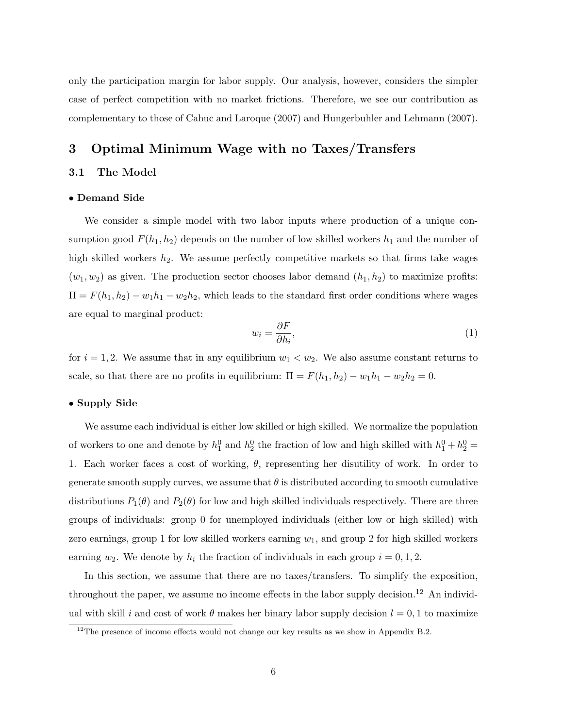only the participation margin for labor supply. Our analysis, however, considers the simpler case of perfect competition with no market frictions. Therefore, we see our contribution as complementary to those of Cahuc and Laroque (2007) and Hungerbuhler and Lehmann (2007).

# 3 Optimal Minimum Wage with no Taxes/Transfers

# 3.1 The Model

### • Demand Side

We consider a simple model with two labor inputs where production of a unique consumption good  $F(h_1, h_2)$  depends on the number of low skilled workers  $h_1$  and the number of high skilled workers  $h_2$ . We assume perfectly competitive markets so that firms take wages  $(w_1, w_2)$  as given. The production sector chooses labor demand  $(h_1, h_2)$  to maximize profits:  $\Pi = F(h_1, h_2) - w_1h_1 - w_2h_2$ , which leads to the standard first order conditions where wages are equal to marginal product:

$$
w_i = \frac{\partial F}{\partial h_i},\tag{1}
$$

for  $i = 1, 2$ . We assume that in any equilibrium  $w_1 < w_2$ . We also assume constant returns to scale, so that there are no profits in equilibrium:  $\Pi = F(h_1, h_2) - w_1h_1 - w_2h_2 = 0$ .

# • Supply Side

We assume each individual is either low skilled or high skilled. We normalize the population of workers to one and denote by  $h_1^0$  and  $h_2^0$  the fraction of low and high skilled with  $h_1^0 + h_2^0 =$ 1. Each worker faces a cost of working,  $\theta$ , representing her disutility of work. In order to generate smooth supply curves, we assume that  $\theta$  is distributed according to smooth cumulative distributions  $P_1(\theta)$  and  $P_2(\theta)$  for low and high skilled individuals respectively. There are three groups of individuals: group 0 for unemployed individuals (either low or high skilled) with zero earnings, group 1 for low skilled workers earning  $w_1$ , and group 2 for high skilled workers earning  $w_2$ . We denote by  $h_i$  the fraction of individuals in each group  $i = 0, 1, 2$ .

In this section, we assume that there are no taxes/transfers. To simplify the exposition, throughout the paper, we assume no income effects in the labor supply decision.<sup>12</sup> An individual with skill i and cost of work  $\theta$  makes her binary labor supply decision  $l = 0, 1$  to maximize

 $12$ The presence of income effects would not change our key results as we show in Appendix B.2.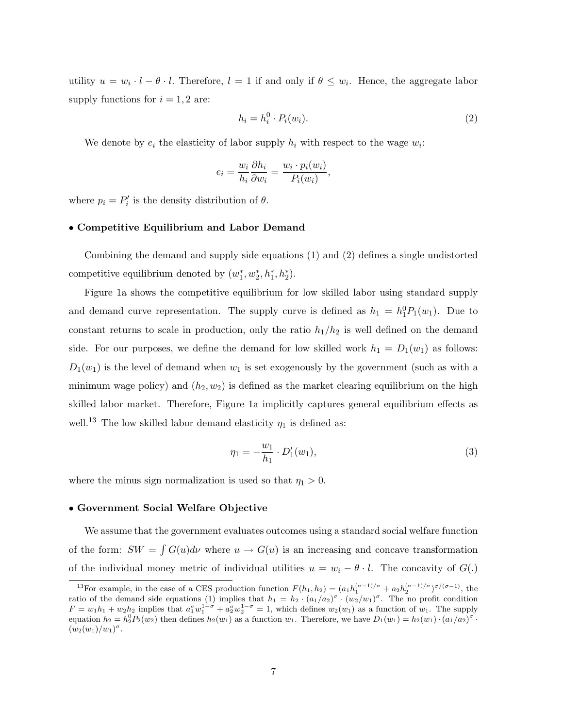utility  $u = w_i \cdot l - \theta \cdot l$ . Therefore,  $l = 1$  if and only if  $\theta \leq w_i$ . Hence, the aggregate labor supply functions for  $i = 1, 2$  are:

$$
h_i = h_i^0 \cdot P_i(w_i). \tag{2}
$$

We denote by  $e_i$  the elasticity of labor supply  $h_i$  with respect to the wage  $w_i$ :

$$
e_i = \frac{w_i}{h_i} \frac{\partial h_i}{\partial w_i} = \frac{w_i \cdot p_i(w_i)}{P_i(w_i)},
$$

where  $p_i = P'_i$  is the density distribution of  $\theta$ .

#### • Competitive Equilibrium and Labor Demand

Combining the demand and supply side equations (1) and (2) defines a single undistorted competitive equilibrium denoted by  $(w_1^*, w_2^*, h_1^*, h_2^*).$ 

Figure 1a shows the competitive equilibrium for low skilled labor using standard supply and demand curve representation. The supply curve is defined as  $h_1 = h_1^0 P_1(w_1)$ . Due to constant returns to scale in production, only the ratio  $h_1/h_2$  is well defined on the demand side. For our purposes, we define the demand for low skilled work  $h_1 = D_1(w_1)$  as follows:  $D_1(w_1)$  is the level of demand when  $w_1$  is set exogenously by the government (such as with a minimum wage policy) and  $(h_2, w_2)$  is defined as the market clearing equilibrium on the high skilled labor market. Therefore, Figure 1a implicitly captures general equilibrium effects as well.<sup>13</sup> The low skilled labor demand elasticity  $\eta_1$  is defined as:

$$
\eta_1 = -\frac{w_1}{h_1} \cdot D_1'(w_1),\tag{3}
$$

where the minus sign normalization is used so that  $\eta_1 > 0$ .

# • Government Social Welfare Objective

We assume that the government evaluates outcomes using a standard social welfare function of the form:  $SW = \int G(u)dv$  where  $u \to G(u)$  is an increasing and concave transformation of the individual money metric of individual utilities  $u = w_i - \theta \cdot l$ . The concavity of  $G(.)$ 

<sup>&</sup>lt;sup>13</sup>For example, in the case of a CES production function  $F(h_1, h_2) = (a_1 h_1^{(\sigma-1)/\sigma} + a_2 h_2^{(\sigma-1)/\sigma})^{\sigma/(\sigma-1)}$ , the ratio of the demand side equations (1) implies that  $h_1 = h_2 \cdot (a_1/a_2)^{\sigma} \cdot (w_2/w_1)^{\sigma}$ . The no profit condition  $F = w_1 h_1 + w_2 h_2$  implies that  $a_1^{\sigma} w_1^{1-\sigma} + a_2^{\sigma} w_2^{1-\sigma} = 1$ , which defines  $w_2(w_1)$  as a function of  $w_1$ . The supply equation  $h_2 = h_2^0 P_2(w_2)$  then defines  $h_2(w_1)$  as a function  $w_1$ . Therefore, we have  $D_1(w_1) = h_2(w_1) \cdot (a_1/a_2)^{\sigma}$ .  $(w_2(w_1)/w_1)^{\sigma}.$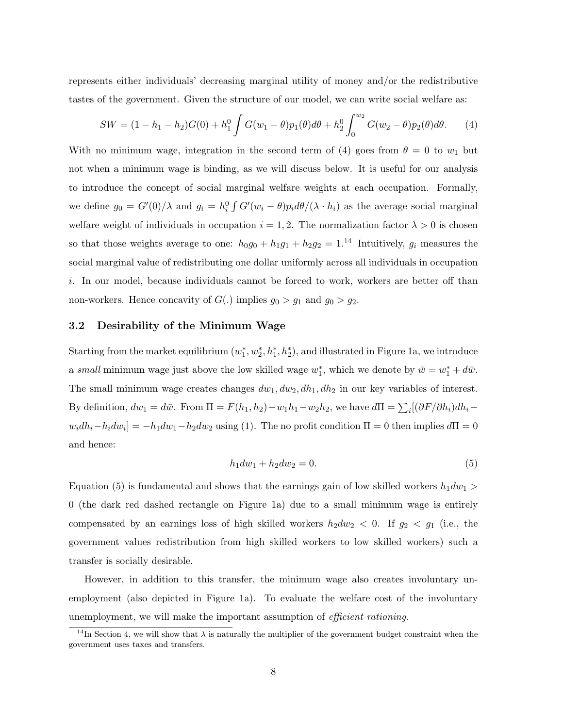represents either individuals' decreasing marginal utility of money and/or the redistributive tastes of the government. Given the structure of our model, we can write social welfare as:

$$
SW = (1 - h_1 - h_2)G(0) + h_1^0 \int G(w_1 - \theta) p_1(\theta) d\theta + h_2^0 \int_0^{w_2} G(w_2 - \theta) p_2(\theta) d\theta.
$$
 (4)

With no minimum wage, integration in the second term of (4) goes from  $\theta = 0$  to  $w_1$  but not when a minimum wage is binding, as we will discuss below. It is useful for our analysis to introduce the concept of social marginal welfare weights at each occupation. Formally, we define  $g_0 = G'(0)/\lambda$  and  $g_i = h_i^0 \int G'(w_i - \theta)p_i d\theta/(\lambda \cdot h_i)$  as the average social marginal welfare weight of individuals in occupation  $i = 1, 2$ . The normalization factor  $\lambda > 0$  is chosen so that those weights average to one:  $h_0g_0 + h_1g_1 + h_2g_2 = 1^{14}$  Intuitively,  $g_i$  measures the social marginal value of redistributing one dollar uniformly across all individuals in occupation i. In our model, because individuals cannot be forced to work, workers are better off than non-workers. Hence concavity of  $G(.)$  implies  $g_0 > g_1$  and  $g_0 > g_2$ .

### 3.2 Desirability of the Minimum Wage

Starting from the market equilibrium  $(w_1^*, w_2^*, h_1^*, h_2^*)$ , and illustrated in Figure 1a, we introduce a small minimum wage just above the low skilled wage  $w_1^*$ , which we denote by  $\bar{w} = w_1^* + d\bar{w}$ . The small minimum wage creates changes  $dw_1, dw_2, dh_1, dh_2$  in our key variables of interest. By definition,  $dw_1 = d\bar{w}$ . From  $\Pi = F(h_1, h_2) - w_1h_1 - w_2h_2$ , we have  $d\Pi = \sum_i [(\partial F/\partial h_i)dh_i$  $w_i dh_i - h_i dw_i = -h_1 dw_1 - h_2 dw_2$  using (1). The no profit condition  $\Pi = 0$  then implies  $d\Pi = 0$ and hence:

$$
h_1 dw_1 + h_2 dw_2 = 0. \t\t(5)
$$

Equation (5) is fundamental and shows that the earnings gain of low skilled workers  $h_1 dw_1 >$ 0 (the dark red dashed rectangle on Figure 1a) due to a small minimum wage is entirely compensated by an earnings loss of high skilled workers  $h_2dw_2 < 0$ . If  $g_2 < g_1$  (i.e., the government values redistribution from high skilled workers to low skilled workers) such a transfer is socially desirable.

However, in addition to this transfer, the minimum wage also creates involuntary unemployment (also depicted in Figure 1a). To evaluate the welfare cost of the involuntary unemployment, we will make the important assumption of *efficient rationing*.

<sup>&</sup>lt;sup>14</sup>In Section 4, we will show that  $\lambda$  is naturally the multiplier of the government budget constraint when the government uses taxes and transfers.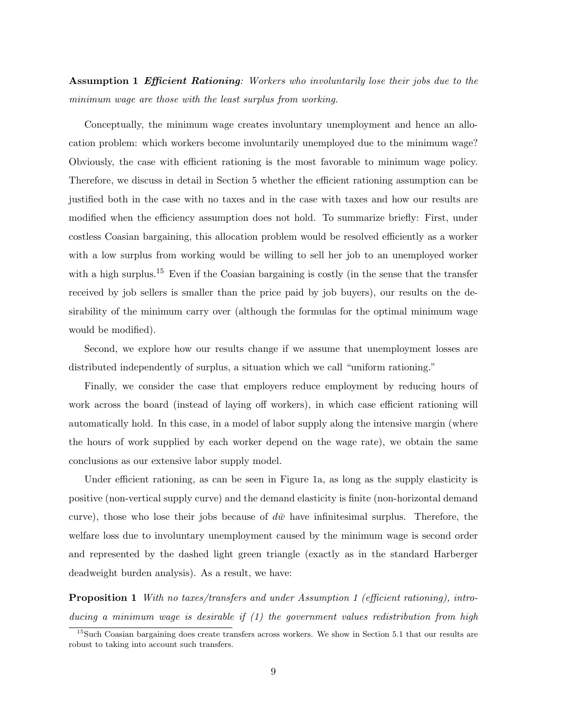**Assumption 1 Efficient Rationing:** Workers who involuntarily lose their jobs due to the minimum wage are those with the least surplus from working.

Conceptually, the minimum wage creates involuntary unemployment and hence an allocation problem: which workers become involuntarily unemployed due to the minimum wage? Obviously, the case with efficient rationing is the most favorable to minimum wage policy. Therefore, we discuss in detail in Section 5 whether the efficient rationing assumption can be justified both in the case with no taxes and in the case with taxes and how our results are modified when the efficiency assumption does not hold. To summarize briefly: First, under costless Coasian bargaining, this allocation problem would be resolved efficiently as a worker with a low surplus from working would be willing to sell her job to an unemployed worker with a high surplus.<sup>15</sup> Even if the Coasian bargaining is costly (in the sense that the transfer received by job sellers is smaller than the price paid by job buyers), our results on the desirability of the minimum carry over (although the formulas for the optimal minimum wage would be modified).

Second, we explore how our results change if we assume that unemployment losses are distributed independently of surplus, a situation which we call "uniform rationing."

Finally, we consider the case that employers reduce employment by reducing hours of work across the board (instead of laying off workers), in which case efficient rationing will automatically hold. In this case, in a model of labor supply along the intensive margin (where the hours of work supplied by each worker depend on the wage rate), we obtain the same conclusions as our extensive labor supply model.

Under efficient rationing, as can be seen in Figure 1a, as long as the supply elasticity is positive (non-vertical supply curve) and the demand elasticity is finite (non-horizontal demand curve), those who lose their jobs because of  $d\bar{w}$  have infinitesimal surplus. Therefore, the welfare loss due to involuntary unemployment caused by the minimum wage is second order and represented by the dashed light green triangle (exactly as in the standard Harberger deadweight burden analysis). As a result, we have:

Proposition 1 With no taxes/transfers and under Assumption 1 (efficient rationing), introducing a minimum wage is desirable if  $(1)$  the government values redistribution from high

<sup>&</sup>lt;sup>15</sup>Such Coasian bargaining does create transfers across workers. We show in Section 5.1 that our results are robust to taking into account such transfers.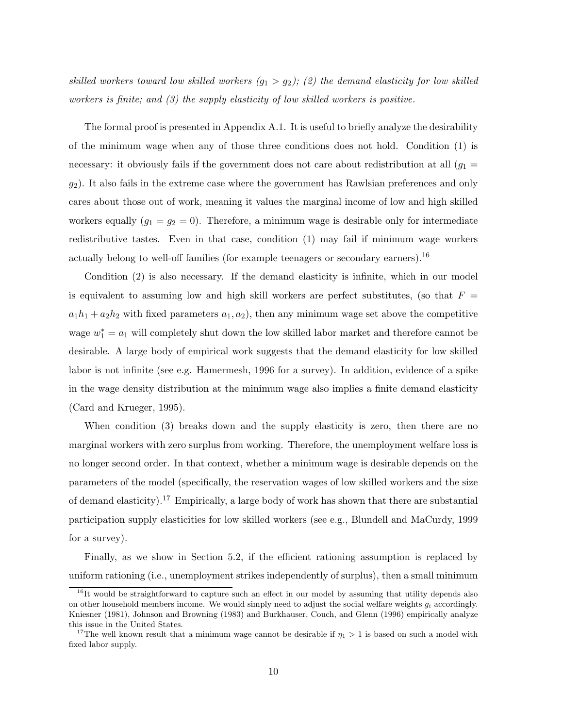skilled workers toward low skilled workers  $(g_1 > g_2)$ ; (2) the demand elasticity for low skilled workers is finite; and (3) the supply elasticity of low skilled workers is positive.

The formal proof is presented in Appendix A.1. It is useful to briefly analyze the desirability of the minimum wage when any of those three conditions does not hold. Condition (1) is necessary: it obviously fails if the government does not care about redistribution at all  $(g_1 =$  $g_2$ ). It also fails in the extreme case where the government has Rawlsian preferences and only cares about those out of work, meaning it values the marginal income of low and high skilled workers equally  $(g_1 = g_2 = 0)$ . Therefore, a minimum wage is desirable only for intermediate redistributive tastes. Even in that case, condition (1) may fail if minimum wage workers actually belong to well-off families (for example teenagers or secondary earners).<sup>16</sup>

Condition (2) is also necessary. If the demand elasticity is infinite, which in our model is equivalent to assuming low and high skill workers are perfect substitutes, (so that  $F =$  $a_1h_1 + a_2h_2$  with fixed parameters  $a_1, a_2$ , then any minimum wage set above the competitive wage  $w_1^* = a_1$  will completely shut down the low skilled labor market and therefore cannot be desirable. A large body of empirical work suggests that the demand elasticity for low skilled labor is not infinite (see e.g. Hamermesh, 1996 for a survey). In addition, evidence of a spike in the wage density distribution at the minimum wage also implies a finite demand elasticity (Card and Krueger, 1995).

When condition (3) breaks down and the supply elasticity is zero, then there are no marginal workers with zero surplus from working. Therefore, the unemployment welfare loss is no longer second order. In that context, whether a minimum wage is desirable depends on the parameters of the model (specifically, the reservation wages of low skilled workers and the size of demand elasticity).<sup>17</sup> Empirically, a large body of work has shown that there are substantial participation supply elasticities for low skilled workers (see e.g., Blundell and MaCurdy, 1999 for a survey).

Finally, as we show in Section 5.2, if the efficient rationing assumption is replaced by uniform rationing (i.e., unemployment strikes independently of surplus), then a small minimum

 $16$ It would be straightforward to capture such an effect in our model by assuming that utility depends also on other household members income. We would simply need to adjust the social welfare weights  $q_i$  accordingly. Kniesner (1981), Johnson and Browning (1983) and Burkhauser, Couch, and Glenn (1996) empirically analyze this issue in the United States.

<sup>&</sup>lt;sup>17</sup>The well known result that a minimum wage cannot be desirable if  $\eta_1 > 1$  is based on such a model with fixed labor supply.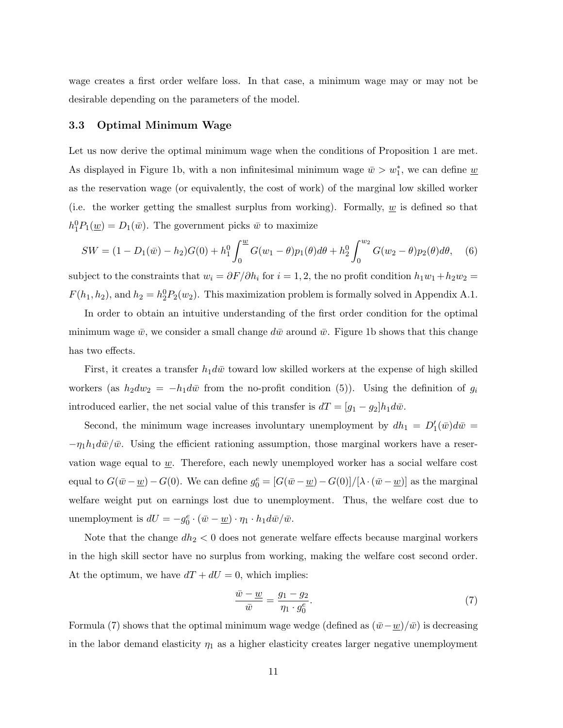wage creates a first order welfare loss. In that case, a minimum wage may or may not be desirable depending on the parameters of the model.

# 3.3 Optimal Minimum Wage

Let us now derive the optimal minimum wage when the conditions of Proposition 1 are met. As displayed in Figure 1b, with a non infinitesimal minimum wage  $\bar{w} > w_1^*$ , we can define  $\underline{w}$ as the reservation wage (or equivalently, the cost of work) of the marginal low skilled worker (i.e. the worker getting the smallest surplus from working). Formally,  $\underline{w}$  is defined so that  $h_1^0 P_1(\underline{w}) = D_1(\overline{w})$ . The government picks  $\overline{w}$  to maximize

$$
SW = (1 - D_1(\bar{w}) - h_2)G(0) + h_1^0 \int_0^{\underline{w}} G(w_1 - \theta) p_1(\theta) d\theta + h_2^0 \int_0^{\underline{w}_2} G(w_2 - \theta) p_2(\theta) d\theta, \quad (6)
$$

subject to the constraints that  $w_i = \partial F / \partial h_i$  for  $i = 1, 2$ , the no profit condition  $h_1w_1 + h_2w_2 =$  $F(h_1, h_2)$ , and  $h_2 = h_2^0 P_2(w_2)$ . This maximization problem is formally solved in Appendix A.1.

In order to obtain an intuitive understanding of the first order condition for the optimal minimum wage  $\bar{w}$ , we consider a small change  $d\bar{w}$  around  $\bar{w}$ . Figure 1b shows that this change has two effects.

First, it creates a transfer  $h_1 d\bar{w}$  toward low skilled workers at the expense of high skilled workers (as  $h_2 dw_2 = -h_1 d\bar{w}$  from the no-profit condition (5)). Using the definition of  $g_i$ introduced earlier, the net social value of this transfer is  $dT = [g_1 - g_2]h_1 d\bar{w}$ .

Second, the minimum wage increases involuntary unemployment by  $dh_1 = D'_1(\bar{w})d\bar{w}$  $-\eta_1h_1d\bar{w}/\bar{w}$ . Using the efficient rationing assumption, those marginal workers have a reservation wage equal to  $w$ . Therefore, each newly unemployed worker has a social welfare cost equal to  $G(\bar{w} - \underline{w}) - G(0)$ . We can define  $g_0^e = [G(\bar{w} - \underline{w}) - G(0)]/[\lambda \cdot (\bar{w} - \underline{w})]$  as the marginal welfare weight put on earnings lost due to unemployment. Thus, the welfare cost due to unemployment is  $dU = -g_0^e \cdot (\bar{w} - \underline{w}) \cdot \eta_1 \cdot h_1 d\bar{w}/\bar{w}$ .

Note that the change  $dh_2 < 0$  does not generate welfare effects because marginal workers in the high skill sector have no surplus from working, making the welfare cost second order. At the optimum, we have  $dT + dU = 0$ , which implies:

$$
\frac{\bar{w} - \underline{w}}{\bar{w}} = \frac{g_1 - g_2}{\eta_1 \cdot g_0^e}.\tag{7}
$$

Formula (7) shows that the optimal minimum wage wedge (defined as  $(\bar{w}-\underline{w})/\bar{w}$ ) is decreasing in the labor demand elasticity  $\eta_1$  as a higher elasticity creates larger negative unemployment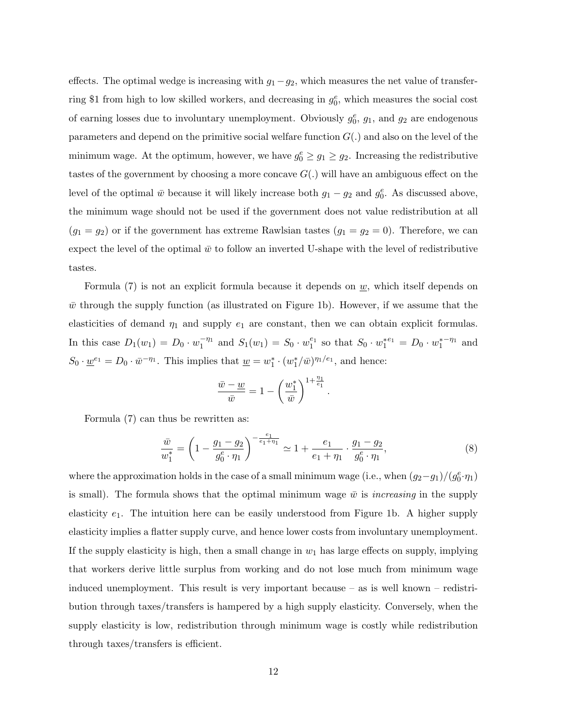effects. The optimal wedge is increasing with  $g_1 - g_2$ , which measures the net value of transferring \$1 from high to low skilled workers, and decreasing in  $g_0^e$ , which measures the social cost of earning losses due to involuntary unemployment. Obviously  $g_0^e$ ,  $g_1$ , and  $g_2$  are endogenous parameters and depend on the primitive social welfare function  $G(.)$  and also on the level of the minimum wage. At the optimum, however, we have  $g_0^e \geq g_1 \geq g_2$ . Increasing the redistributive tastes of the government by choosing a more concave  $G(.)$  will have an ambiguous effect on the level of the optimal  $\bar{w}$  because it will likely increase both  $g_1 - g_2$  and  $g_0^e$ . As discussed above, the minimum wage should not be used if the government does not value redistribution at all  $(g_1 = g_2)$  or if the government has extreme Rawlsian tastes  $(g_1 = g_2 = 0)$ . Therefore, we can expect the level of the optimal  $\bar{w}$  to follow an inverted U-shape with the level of redistributive tastes.

Formula (7) is not an explicit formula because it depends on  $w$ , which itself depends on  $\bar{w}$  through the supply function (as illustrated on Figure 1b). However, if we assume that the elasticities of demand  $\eta_1$  and supply  $e_1$  are constant, then we can obtain explicit formulas. In this case  $D_1(w_1) = D_0 \cdot w_1^{-\eta_1}$  and  $S_1(w_1) = S_0 \cdot w_1^{e_1}$  so that  $S_0 \cdot w_1^{e_1} = D_0 \cdot w_1^{*\eta_1}$  and  $S_0 \cdot \underline{w}^{e_1} = D_0 \cdot \overline{w}^{-\eta_1}$ . This implies that  $\underline{w} = w_1^* \cdot (w_1^*/\overline{w})^{\eta_1/e_1}$ , and hence:

$$
\frac{\bar{w} - \underline{w}}{\bar{w}} = 1 - \left(\frac{w_1^*}{\bar{w}}\right)^{1 + \frac{\eta_1}{e_1}}
$$

Formula (7) can thus be rewritten as:

$$
\frac{\bar{w}}{w_1^*} = \left(1 - \frac{g_1 - g_2}{g_0^e \cdot \eta_1}\right)^{-\frac{e_1}{e_1 + \eta_1}} \simeq 1 + \frac{e_1}{e_1 + \eta_1} \cdot \frac{g_1 - g_2}{g_0^e \cdot \eta_1},\tag{8}
$$

.

where the approximation holds in the case of a small minimum wage (i.e., when  $(g_2-g_1)/(g_0^e \cdot \eta_1)$ ) is small). The formula shows that the optimal minimum wage  $\bar{w}$  is increasing in the supply elasticity  $e_1$ . The intuition here can be easily understood from Figure 1b. A higher supply elasticity implies a flatter supply curve, and hence lower costs from involuntary unemployment. If the supply elasticity is high, then a small change in  $w_1$  has large effects on supply, implying that workers derive little surplus from working and do not lose much from minimum wage induced unemployment. This result is very important because – as is well known – redistribution through taxes/transfers is hampered by a high supply elasticity. Conversely, when the supply elasticity is low, redistribution through minimum wage is costly while redistribution through taxes/transfers is efficient.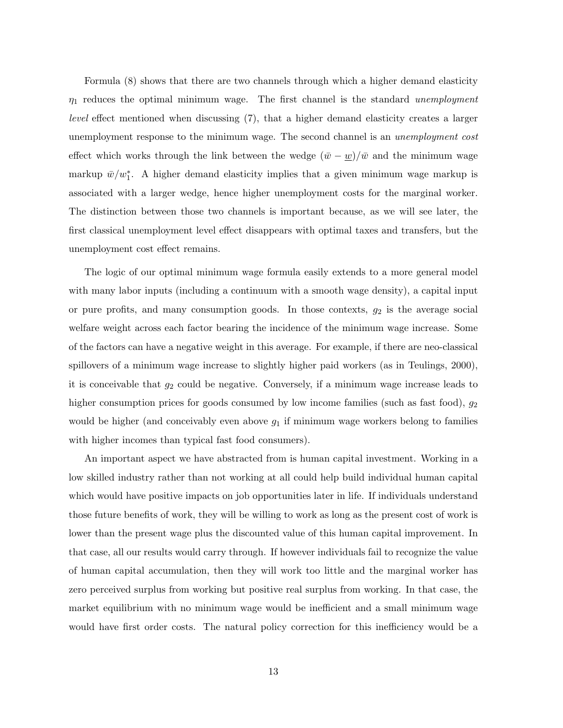Formula (8) shows that there are two channels through which a higher demand elasticity  $\eta_1$  reduces the optimal minimum wage. The first channel is the standard unemployment level effect mentioned when discussing (7), that a higher demand elasticity creates a larger unemployment response to the minimum wage. The second channel is an *unemployment cost* effect which works through the link between the wedge  $(\bar{w} - \underline{w})/\bar{w}$  and the minimum wage markup  $\bar{w}/w_1^*$ . A higher demand elasticity implies that a given minimum wage markup is associated with a larger wedge, hence higher unemployment costs for the marginal worker. The distinction between those two channels is important because, as we will see later, the first classical unemployment level effect disappears with optimal taxes and transfers, but the unemployment cost effect remains.

The logic of our optimal minimum wage formula easily extends to a more general model with many labor inputs (including a continuum with a smooth wage density), a capital input or pure profits, and many consumption goods. In those contexts,  $g_2$  is the average social welfare weight across each factor bearing the incidence of the minimum wage increase. Some of the factors can have a negative weight in this average. For example, if there are neo-classical spillovers of a minimum wage increase to slightly higher paid workers (as in Teulings, 2000), it is conceivable that  $g_2$  could be negative. Conversely, if a minimum wage increase leads to higher consumption prices for goods consumed by low income families (such as fast food),  $g_2$ would be higher (and conceivably even above  $g_1$  if minimum wage workers belong to families with higher incomes than typical fast food consumers).

An important aspect we have abstracted from is human capital investment. Working in a low skilled industry rather than not working at all could help build individual human capital which would have positive impacts on job opportunities later in life. If individuals understand those future benefits of work, they will be willing to work as long as the present cost of work is lower than the present wage plus the discounted value of this human capital improvement. In that case, all our results would carry through. If however individuals fail to recognize the value of human capital accumulation, then they will work too little and the marginal worker has zero perceived surplus from working but positive real surplus from working. In that case, the market equilibrium with no minimum wage would be inefficient and a small minimum wage would have first order costs. The natural policy correction for this inefficiency would be a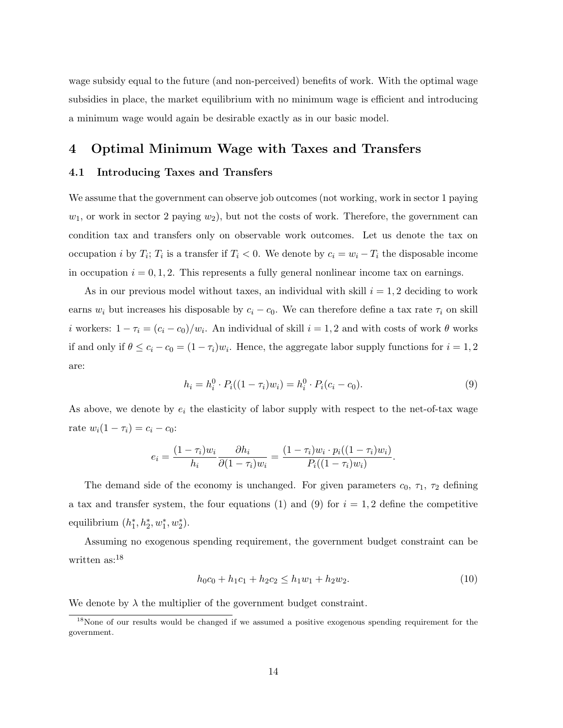wage subsidy equal to the future (and non-perceived) benefits of work. With the optimal wage subsidies in place, the market equilibrium with no minimum wage is efficient and introducing a minimum wage would again be desirable exactly as in our basic model.

# 4 Optimal Minimum Wage with Taxes and Transfers

# 4.1 Introducing Taxes and Transfers

We assume that the government can observe job outcomes (not working, work in sector 1 paying  $w_1$ , or work in sector 2 paying  $w_2$ ), but not the costs of work. Therefore, the government can condition tax and transfers only on observable work outcomes. Let us denote the tax on occupation *i* by  $T_i$ ;  $T_i$  is a transfer if  $T_i < 0$ . We denote by  $c_i = w_i - T_i$  the disposable income in occupation  $i = 0, 1, 2$ . This represents a fully general nonlinear income tax on earnings.

As in our previous model without taxes, an individual with skill  $i = 1, 2$  deciding to work earns  $w_i$  but increases his disposable by  $c_i - c_0$ . We can therefore define a tax rate  $\tau_i$  on skill *i* workers:  $1 - \tau_i = (c_i - c_0)/w_i$ . An individual of skill  $i = 1, 2$  and with costs of work  $\theta$  works if and only if  $\theta \leq c_i - c_0 = (1 - \tau_i)w_i$ . Hence, the aggregate labor supply functions for  $i = 1, 2$ are:

$$
h_i = h_i^0 \cdot P_i((1 - \tau_i)w_i) = h_i^0 \cdot P_i(c_i - c_0).
$$
\n(9)

As above, we denote by  $e_i$  the elasticity of labor supply with respect to the net-of-tax wage rate  $w_i(1 - \tau_i) = c_i - c_0$ :

$$
e_i = \frac{(1 - \tau_i)w_i}{h_i} \frac{\partial h_i}{\partial (1 - \tau_i)w_i} = \frac{(1 - \tau_i)w_i \cdot p_i((1 - \tau_i)w_i)}{P_i((1 - \tau_i)w_i)}.
$$

The demand side of the economy is unchanged. For given parameters  $c_0$ ,  $\tau_1$ ,  $\tau_2$  defining a tax and transfer system, the four equations (1) and (9) for  $i = 1, 2$  define the competitive equilibrium  $(h_1^*, h_2^*, w_1^*, w_2^*)$ .

Assuming no exogenous spending requirement, the government budget constraint can be written as:<sup>18</sup>

$$
h_0c_0 + h_1c_1 + h_2c_2 \le h_1w_1 + h_2w_2. \tag{10}
$$

We denote by  $\lambda$  the multiplier of the government budget constraint.

<sup>&</sup>lt;sup>18</sup>None of our results would be changed if we assumed a positive exogenous spending requirement for the government.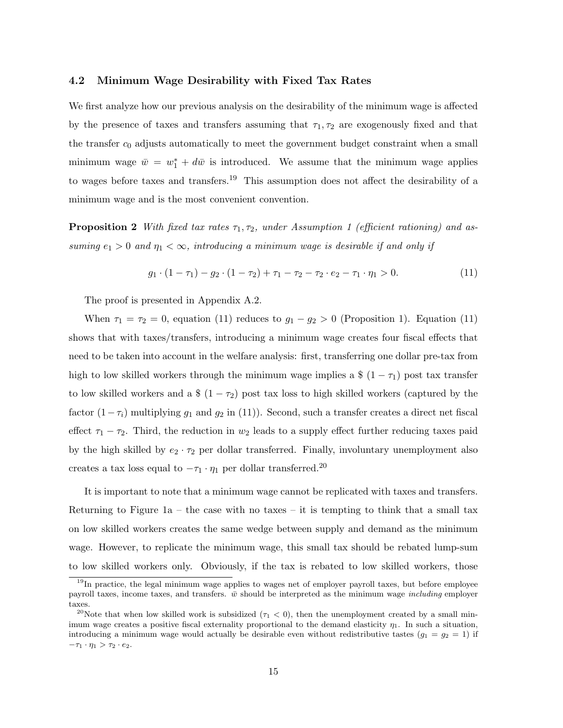### 4.2 Minimum Wage Desirability with Fixed Tax Rates

We first analyze how our previous analysis on the desirability of the minimum wage is affected by the presence of taxes and transfers assuming that  $\tau_1, \tau_2$  are exogenously fixed and that the transfer  $c_0$  adjusts automatically to meet the government budget constraint when a small minimum wage  $\bar{w} = w_1^* + d\bar{w}$  is introduced. We assume that the minimum wage applies to wages before taxes and transfers.<sup>19</sup> This assumption does not affect the desirability of a minimum wage and is the most convenient convention.

**Proposition 2** With fixed tax rates  $\tau_1, \tau_2$ , under Assumption 1 (efficient rationing) and assuming  $e_1 > 0$  and  $\eta_1 < \infty$ , introducing a minimum wage is desirable if and only if

$$
g_1 \cdot (1 - \tau_1) - g_2 \cdot (1 - \tau_2) + \tau_1 - \tau_2 - \tau_2 \cdot e_2 - \tau_1 \cdot \eta_1 > 0. \tag{11}
$$

The proof is presented in Appendix A.2.

When  $\tau_1 = \tau_2 = 0$ , equation (11) reduces to  $g_1 - g_2 > 0$  (Proposition 1). Equation (11) shows that with taxes/transfers, introducing a minimum wage creates four fiscal effects that need to be taken into account in the welfare analysis: first, transferring one dollar pre-tax from high to low skilled workers through the minimum wage implies a  $\frac{1}{2} (1 - \tau_1)$  post tax transfer to low skilled workers and a  $\frac{1}{2}(1 - \tau_2)$  post tax loss to high skilled workers (captured by the factor  $(1-\tau_i)$  multiplying  $g_1$  and  $g_2$  in (11)). Second, such a transfer creates a direct net fiscal effect  $\tau_1 - \tau_2$ . Third, the reduction in  $w_2$  leads to a supply effect further reducing taxes paid by the high skilled by  $e_2 \cdot \tau_2$  per dollar transferred. Finally, involuntary unemployment also creates a tax loss equal to  $-\tau_1 \cdot \eta_1$  per dollar transferred.<sup>20</sup>

It is important to note that a minimum wage cannot be replicated with taxes and transfers. Returning to Figure 1a – the case with no taxes – it is tempting to think that a small tax on low skilled workers creates the same wedge between supply and demand as the minimum wage. However, to replicate the minimum wage, this small tax should be rebated lump-sum to low skilled workers only. Obviously, if the tax is rebated to low skilled workers, those

<sup>&</sup>lt;sup>19</sup>In practice, the legal minimum wage applies to wages net of employer payroll taxes, but before employee payroll taxes, income taxes, and transfers.  $\bar{w}$  should be interpreted as the minimum wage *including* employer taxes.

<sup>&</sup>lt;sup>20</sup>Note that when low skilled work is subsidized ( $\tau_1$  < 0), then the unemployment created by a small minimum wage creates a positive fiscal externality proportional to the demand elasticity  $\eta_1$ . In such a situation, introducing a minimum wage would actually be desirable even without redistributive tastes  $(g_1 = g_2 = 1)$  if  $-\tau_1 \cdot \eta_1 > \tau_2 \cdot e_2.$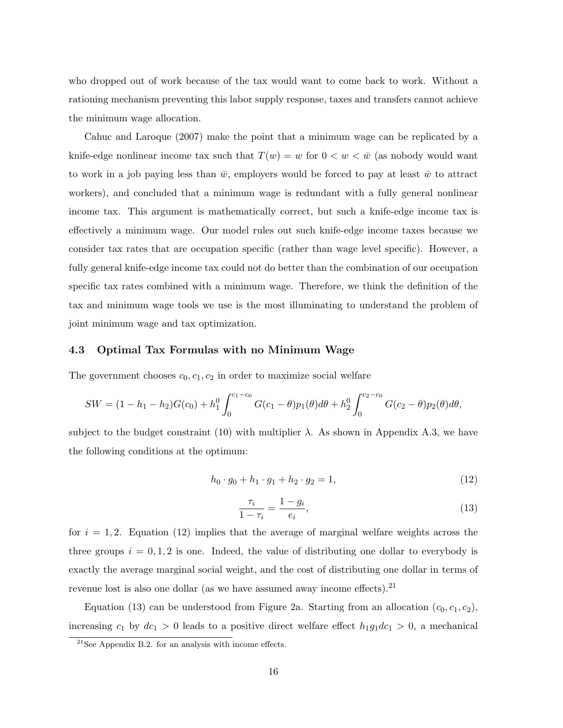who dropped out of work because of the tax would want to come back to work. Without a rationing mechanism preventing this labor supply response, taxes and transfers cannot achieve the minimum wage allocation.

Cahuc and Laroque (2007) make the point that a minimum wage can be replicated by a knife-edge nonlinear income tax such that  $T(w) = w$  for  $0 < w < \bar{w}$  (as nobody would want to work in a job paying less than  $\bar{w}$ , employers would be forced to pay at least  $\bar{w}$  to attract workers), and concluded that a minimum wage is redundant with a fully general nonlinear income tax. This argument is mathematically correct, but such a knife-edge income tax is effectively a minimum wage. Our model rules out such knife-edge income taxes because we consider tax rates that are occupation specific (rather than wage level specific). However, a fully general knife-edge income tax could not do better than the combination of our occupation specific tax rates combined with a minimum wage. Therefore, we think the definition of the tax and minimum wage tools we use is the most illuminating to understand the problem of joint minimum wage and tax optimization.

### 4.3 Optimal Tax Formulas with no Minimum Wage

The government chooses  $c_0, c_1, c_2$  in order to maximize social welfare

$$
SW = (1 - h_1 - h_2)G(c_0) + h_1^0 \int_0^{c_1 - c_0} G(c_1 - \theta) p_1(\theta) d\theta + h_2^0 \int_0^{c_2 - c_0} G(c_2 - \theta) p_2(\theta) d\theta,
$$

subject to the budget constraint (10) with multiplier  $\lambda$ . As shown in Appendix A.3, we have the following conditions at the optimum:

$$
h_0 \cdot g_0 + h_1 \cdot g_1 + h_2 \cdot g_2 = 1,\tag{12}
$$

$$
\frac{\tau_i}{1 - \tau_i} = \frac{1 - g_i}{e_i},\tag{13}
$$

for  $i = 1, 2$ . Equation (12) implies that the average of marginal welfare weights across the three groups  $i = 0, 1, 2$  is one. Indeed, the value of distributing one dollar to everybody is exactly the average marginal social weight, and the cost of distributing one dollar in terms of revenue lost is also one dollar (as we have assumed away income effects).  $2<sup>1</sup>$ 

Equation (13) can be understood from Figure 2a. Starting from an allocation  $(c_0, c_1, c_2)$ , increasing  $c_1$  by  $dc_1 > 0$  leads to a positive direct welfare effect  $h_1g_1dc_1 > 0$ , a mechanical

 $21$ See Appendix B.2. for an analysis with income effects.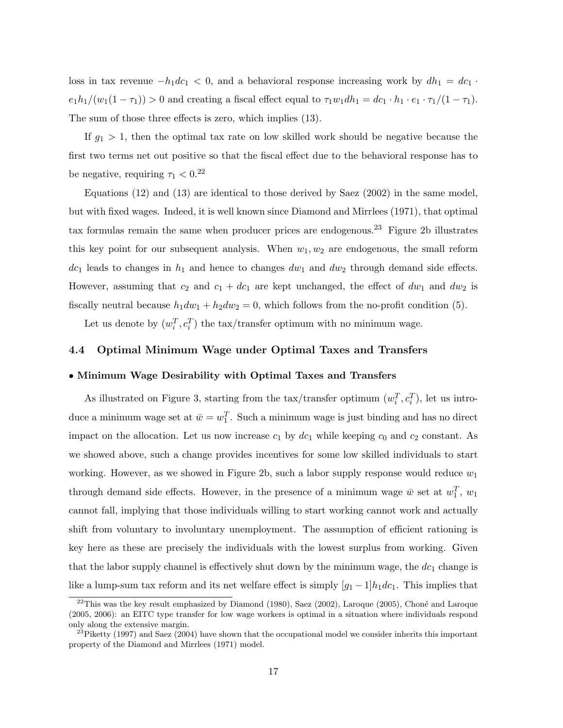loss in tax revenue  $-h_1dc_1 < 0$ , and a behavioral response increasing work by  $dh_1 = dc_1$ .  $e_1h_1/(w_1(1 - \tau_1)) > 0$  and creating a fiscal effect equal to  $\tau_1w_1dh_1 = dc_1 \cdot h_1 \cdot e_1 \cdot \tau_1/(1 - \tau_1)$ . The sum of those three effects is zero, which implies (13).

If  $g_1 > 1$ , then the optimal tax rate on low skilled work should be negative because the first two terms net out positive so that the fiscal effect due to the behavioral response has to be negative, requiring  $\tau_1 < 0.^{22}$ 

Equations (12) and (13) are identical to those derived by Saez (2002) in the same model, but with fixed wages. Indeed, it is well known since Diamond and Mirrlees (1971), that optimal tax formulas remain the same when producer prices are endogenous.<sup>23</sup> Figure 2b illustrates this key point for our subsequent analysis. When  $w_1, w_2$  are endogenous, the small reform  $dc_1$  leads to changes in  $h_1$  and hence to changes  $dw_1$  and  $dw_2$  through demand side effects. However, assuming that  $c_2$  and  $c_1 + dc_1$  are kept unchanged, the effect of  $dw_1$  and  $dw_2$  is fiscally neutral because  $h_1 dw_1 + h_2 dw_2 = 0$ , which follows from the no-profit condition (5).

Let us denote by  $(w_i^T, c_i^T)$  the tax/transfer optimum with no minimum wage.

# 4.4 Optimal Minimum Wage under Optimal Taxes and Transfers

# • Minimum Wage Desirability with Optimal Taxes and Transfers

As illustrated on Figure 3, starting from the tax/transfer optimum  $(w_i^T, c_i^T)$ , let us introduce a minimum wage set at  $\bar{w} = w_1^T$ . Such a minimum wage is just binding and has no direct impact on the allocation. Let us now increase  $c_1$  by  $dc_1$  while keeping  $c_0$  and  $c_2$  constant. As we showed above, such a change provides incentives for some low skilled individuals to start working. However, as we showed in Figure 2b, such a labor supply response would reduce  $w_1$ through demand side effects. However, in the presence of a minimum wage  $\bar{w}$  set at  $w_1^T$ ,  $w_1$ cannot fall, implying that those individuals willing to start working cannot work and actually shift from voluntary to involuntary unemployment. The assumption of efficient rationing is key here as these are precisely the individuals with the lowest surplus from working. Given that the labor supply channel is effectively shut down by the minimum wage, the  $dc_1$  change is like a lump-sum tax reform and its net welfare effect is simply  $[g_1 - 1]h_1dc_1$ . This implies that

<sup>&</sup>lt;sup>22</sup>This was the key result emphasized by Diamond (1980), Saez (2002), Laroque (2005), Choné and Laroque (2005, 2006): an EITC type transfer for low wage workers is optimal in a situation where individuals respond only along the extensive margin.

 $^{23}$ Piketty (1997) and Saez (2004) have shown that the occupational model we consider inherits this important property of the Diamond and Mirrlees (1971) model.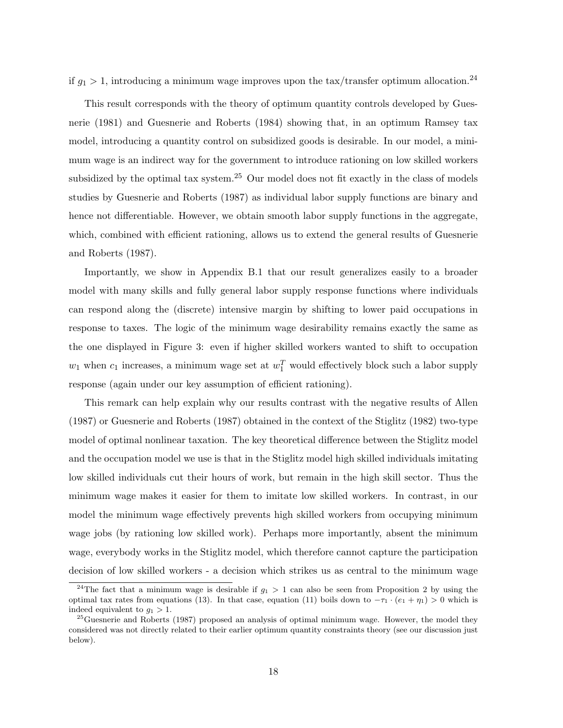if  $g_1 > 1$ , introducing a minimum wage improves upon the tax/transfer optimum allocation.<sup>24</sup>

This result corresponds with the theory of optimum quantity controls developed by Guesnerie (1981) and Guesnerie and Roberts (1984) showing that, in an optimum Ramsey tax model, introducing a quantity control on subsidized goods is desirable. In our model, a minimum wage is an indirect way for the government to introduce rationing on low skilled workers subsidized by the optimal tax system.<sup>25</sup> Our model does not fit exactly in the class of models studies by Guesnerie and Roberts (1987) as individual labor supply functions are binary and hence not differentiable. However, we obtain smooth labor supply functions in the aggregate, which, combined with efficient rationing, allows us to extend the general results of Guesnerie and Roberts (1987).

Importantly, we show in Appendix B.1 that our result generalizes easily to a broader model with many skills and fully general labor supply response functions where individuals can respond along the (discrete) intensive margin by shifting to lower paid occupations in response to taxes. The logic of the minimum wage desirability remains exactly the same as the one displayed in Figure 3: even if higher skilled workers wanted to shift to occupation  $w_1$  when  $c_1$  increases, a minimum wage set at  $w_1^T$  would effectively block such a labor supply response (again under our key assumption of efficient rationing).

This remark can help explain why our results contrast with the negative results of Allen (1987) or Guesnerie and Roberts (1987) obtained in the context of the Stiglitz (1982) two-type model of optimal nonlinear taxation. The key theoretical difference between the Stiglitz model and the occupation model we use is that in the Stiglitz model high skilled individuals imitating low skilled individuals cut their hours of work, but remain in the high skill sector. Thus the minimum wage makes it easier for them to imitate low skilled workers. In contrast, in our model the minimum wage effectively prevents high skilled workers from occupying minimum wage jobs (by rationing low skilled work). Perhaps more importantly, absent the minimum wage, everybody works in the Stiglitz model, which therefore cannot capture the participation decision of low skilled workers - a decision which strikes us as central to the minimum wage

<sup>&</sup>lt;sup>24</sup>The fact that a minimum wage is desirable if  $g_1 > 1$  can also be seen from Proposition 2 by using the optimal tax rates from equations (13). In that case, equation (11) boils down to  $-\tau_1 \cdot (e_1 + \eta_1) > 0$  which is indeed equivalent to  $q_1 > 1$ .

 $^{25}$ Guesnerie and Roberts (1987) proposed an analysis of optimal minimum wage. However, the model they considered was not directly related to their earlier optimum quantity constraints theory (see our discussion just below).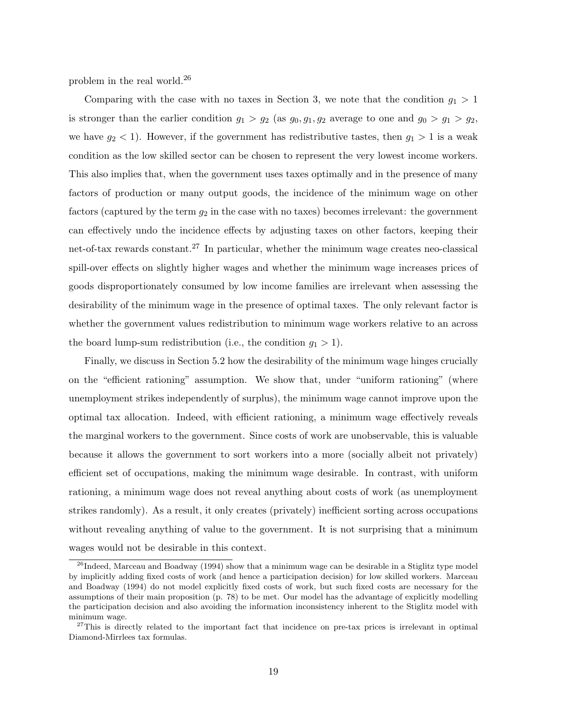problem in the real world.<sup>26</sup>

Comparing with the case with no taxes in Section 3, we note that the condition  $g_1 > 1$ is stronger than the earlier condition  $g_1 > g_2$  (as  $g_0, g_1, g_2$  average to one and  $g_0 > g_1 > g_2$ , we have  $g_2 < 1$ ). However, if the government has redistributive tastes, then  $g_1 > 1$  is a weak condition as the low skilled sector can be chosen to represent the very lowest income workers. This also implies that, when the government uses taxes optimally and in the presence of many factors of production or many output goods, the incidence of the minimum wage on other factors (captured by the term  $g_2$  in the case with no taxes) becomes irrelevant: the government can effectively undo the incidence effects by adjusting taxes on other factors, keeping their net-of-tax rewards constant.<sup>27</sup> In particular, whether the minimum wage creates neo-classical spill-over effects on slightly higher wages and whether the minimum wage increases prices of goods disproportionately consumed by low income families are irrelevant when assessing the desirability of the minimum wage in the presence of optimal taxes. The only relevant factor is whether the government values redistribution to minimum wage workers relative to an across the board lump-sum redistribution (i.e., the condition  $g_1 > 1$ ).

Finally, we discuss in Section 5.2 how the desirability of the minimum wage hinges crucially on the "efficient rationing" assumption. We show that, under "uniform rationing" (where unemployment strikes independently of surplus), the minimum wage cannot improve upon the optimal tax allocation. Indeed, with efficient rationing, a minimum wage effectively reveals the marginal workers to the government. Since costs of work are unobservable, this is valuable because it allows the government to sort workers into a more (socially albeit not privately) efficient set of occupations, making the minimum wage desirable. In contrast, with uniform rationing, a minimum wage does not reveal anything about costs of work (as unemployment strikes randomly). As a result, it only creates (privately) inefficient sorting across occupations without revealing anything of value to the government. It is not surprising that a minimum wages would not be desirable in this context.

 $^{26}$ Indeed, Marceau and Boadway (1994) show that a minimum wage can be desirable in a Stiglitz type model by implicitly adding fixed costs of work (and hence a participation decision) for low skilled workers. Marceau and Boadway (1994) do not model explicitly fixed costs of work, but such fixed costs are necessary for the assumptions of their main proposition (p. 78) to be met. Our model has the advantage of explicitly modelling the participation decision and also avoiding the information inconsistency inherent to the Stiglitz model with minimum wage.

 $27$ This is directly related to the important fact that incidence on pre-tax prices is irrelevant in optimal Diamond-Mirrlees tax formulas.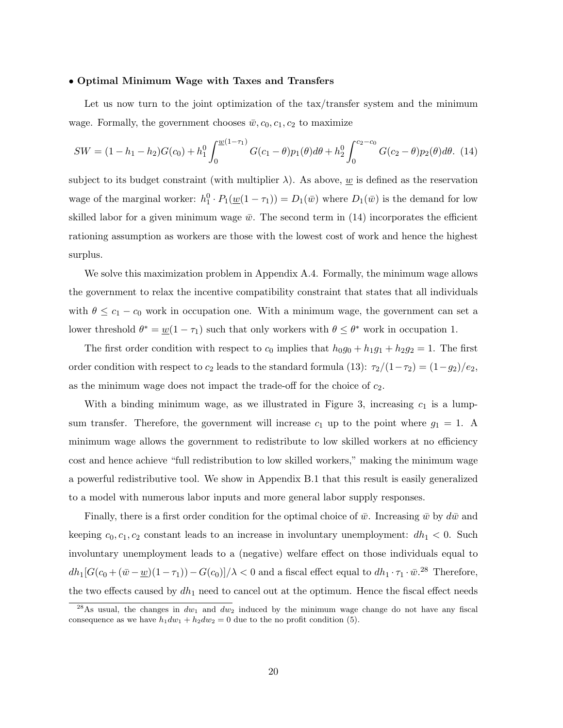#### • Optimal Minimum Wage with Taxes and Transfers

Let us now turn to the joint optimization of the tax/transfer system and the minimum wage. Formally, the government chooses  $\bar{w}$ ,  $c_0$ ,  $c_1$ ,  $c_2$  to maximize

$$
SW = (1 - h_1 - h_2)G(c_0) + h_1^0 \int_0^{\underline{w}(1-\tau_1)} G(c_1 - \theta) p_1(\theta) d\theta + h_2^0 \int_0^{c_2 - c_0} G(c_2 - \theta) p_2(\theta) d\theta.
$$
 (14)

subject to its budget constraint (with multiplier  $\lambda$ ). As above, w is defined as the reservation wage of the marginal worker:  $h_1^0 \cdot P_1(\underline{w}(1-\tau_1)) = D_1(\overline{w})$  where  $D_1(\overline{w})$  is the demand for low skilled labor for a given minimum wage  $\bar{w}$ . The second term in (14) incorporates the efficient rationing assumption as workers are those with the lowest cost of work and hence the highest surplus.

We solve this maximization problem in Appendix A.4. Formally, the minimum wage allows the government to relax the incentive compatibility constraint that states that all individuals with  $\theta \leq c_1 - c_0$  work in occupation one. With a minimum wage, the government can set a lower threshold  $\theta^* = \underline{w}(1 - \tau_1)$  such that only workers with  $\theta \leq \theta^*$  work in occupation 1.

The first order condition with respect to  $c_0$  implies that  $h_0g_0 + h_1g_1 + h_2g_2 = 1$ . The first order condition with respect to  $c_2$  leads to the standard formula (13):  $\tau_2/(1-\tau_2) = (1-g_2)/e_2$ , as the minimum wage does not impact the trade-off for the choice of  $c_2$ .

With a binding minimum wage, as we illustrated in Figure 3, increasing  $c_1$  is a lumpsum transfer. Therefore, the government will increase  $c_1$  up to the point where  $g_1 = 1$ . A minimum wage allows the government to redistribute to low skilled workers at no efficiency cost and hence achieve "full redistribution to low skilled workers," making the minimum wage a powerful redistributive tool. We show in Appendix B.1 that this result is easily generalized to a model with numerous labor inputs and more general labor supply responses.

Finally, there is a first order condition for the optimal choice of  $\bar{w}$ . Increasing  $\bar{w}$  by  $d\bar{w}$  and keeping  $c_0, c_1, c_2$  constant leads to an increase in involuntary unemployment:  $dh_1 < 0$ . Such involuntary unemployment leads to a (negative) welfare effect on those individuals equal to  $dh_1[G(c_0+(\bar{w}-\underline{w})(1-\tau_1))-G(c_0)]/\lambda<0$  and a fiscal effect equal to  $dh_1 \cdot \tau_1 \cdot \bar{w}$ <sup>28</sup> Therefore, the two effects caused by  $dh_1$  need to cancel out at the optimum. Hence the fiscal effect needs

<sup>&</sup>lt;sup>28</sup>As usual, the changes in  $dw_1$  and  $dw_2$  induced by the minimum wage change do not have any fiscal consequence as we have  $h_1 dw_1 + h_2 dw_2 = 0$  due to the no profit condition (5).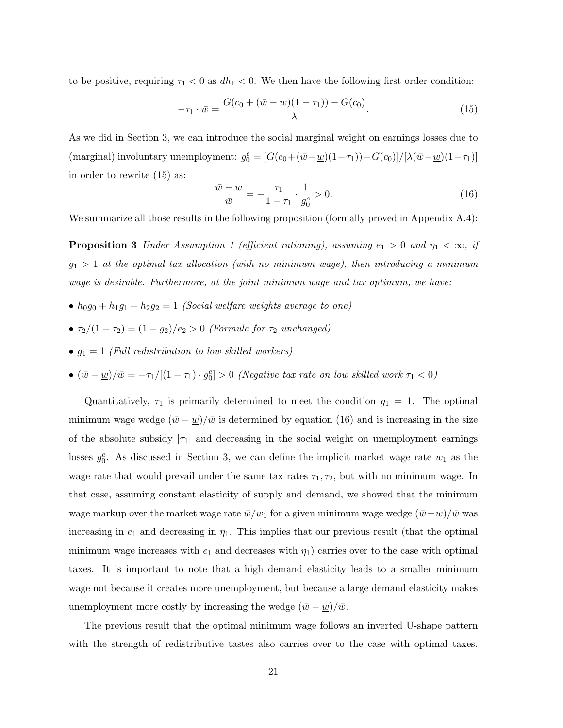to be positive, requiring  $\tau_1 < 0$  as  $dh_1 < 0$ . We then have the following first order condition:

$$
-\tau_1 \cdot \bar{w} = \frac{G(c_0 + (\bar{w} - \underline{w})(1 - \tau_1)) - G(c_0)}{\lambda}.
$$
\n(15)

As we did in Section 3, we can introduce the social marginal weight on earnings losses due to (marginal) involuntary unemployment:  $g_0^e = [G(c_0 + (\bar{w} - \underline{w})(1-\tau_1)) - G(c_0)]/[\lambda(\bar{w} - \underline{w})(1-\tau_1)]$ in order to rewrite (15) as:

$$
\frac{\bar{w} - \underline{w}}{\bar{w}} = -\frac{\tau_1}{1 - \tau_1} \cdot \frac{1}{g_0^e} > 0. \tag{16}
$$

We summarize all those results in the following proposition (formally proved in Appendix A.4):

**Proposition 3** Under Assumption 1 (efficient rationing), assuming  $e_1 > 0$  and  $\eta_1 < \infty$ , if  $g_1 > 1$  at the optimal tax allocation (with no minimum wage), then introducing a minimum wage is desirable. Furthermore, at the joint minimum wage and tax optimum, we have:

- $h_0g_0 + h_1g_1 + h_2g_2 = 1$  (Social welfare weights average to one)
- $\tau_2/(1-\tau_2) = (1-g_2)/e_2 > 0$  (Formula for  $\tau_2$  unchanged)
- $g_1 = 1$  (Full redistribution to low skilled workers)
- $(\bar{w} \underline{w})/\bar{w} = -\tau_1/[(1 \tau_1) \cdot g_0^e] > 0$  (Negative tax rate on low skilled work  $\tau_1 < 0$ )

Quantitatively,  $\tau_1$  is primarily determined to meet the condition  $g_1 = 1$ . The optimal minimum wage wedge  $(\bar{w} - \underline{w})/\bar{w}$  is determined by equation (16) and is increasing in the size of the absolute subsidy  $|\tau_1|$  and decreasing in the social weight on unemployment earnings losses  $g_0^e$ . As discussed in Section 3, we can define the implicit market wage rate  $w_1$  as the wage rate that would prevail under the same tax rates  $\tau_1, \tau_2$ , but with no minimum wage. In that case, assuming constant elasticity of supply and demand, we showed that the minimum wage markup over the market wage rate  $\bar{w}/w_1$  for a given minimum wage wedge  $(\bar{w}-w)/\bar{w}$  was increasing in  $e_1$  and decreasing in  $\eta_1$ . This implies that our previous result (that the optimal minimum wage increases with  $e_1$  and decreases with  $\eta_1$ ) carries over to the case with optimal taxes. It is important to note that a high demand elasticity leads to a smaller minimum wage not because it creates more unemployment, but because a large demand elasticity makes unemployment more costly by increasing the wedge  $(\bar{w} - \underline{w})/\bar{w}$ .

The previous result that the optimal minimum wage follows an inverted U-shape pattern with the strength of redistributive tastes also carries over to the case with optimal taxes.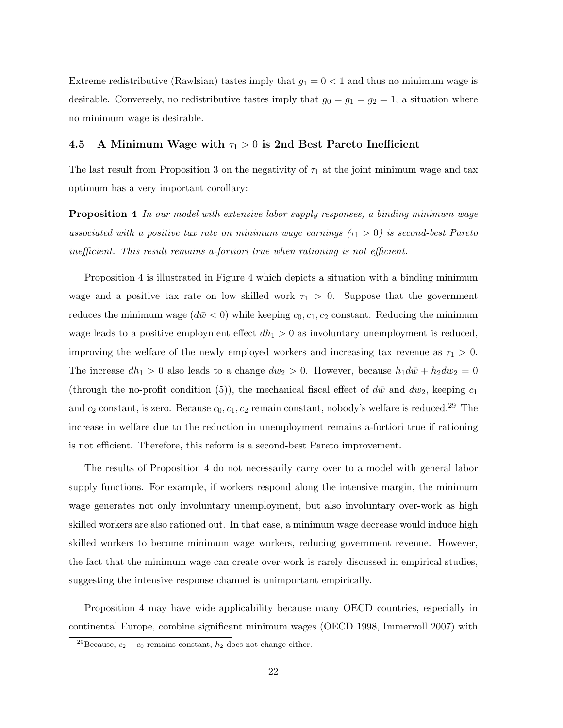Extreme redistributive (Rawlsian) tastes imply that  $g_1 = 0 < 1$  and thus no minimum wage is desirable. Conversely, no redistributive tastes imply that  $g_0 = g_1 = g_2 = 1$ , a situation where no minimum wage is desirable.

# 4.5 A Minimum Wage with  $\tau_1 > 0$  is 2nd Best Pareto Inefficient

The last result from Proposition 3 on the negativity of  $\tau_1$  at the joint minimum wage and tax optimum has a very important corollary:

**Proposition 4** In our model with extensive labor supply responses, a binding minimum wage associated with a positive tax rate on minimum wage earnings  $(\tau_1 > 0)$  is second-best Pareto inefficient. This result remains a-fortiori true when rationing is not efficient.

Proposition 4 is illustrated in Figure 4 which depicts a situation with a binding minimum wage and a positive tax rate on low skilled work  $\tau_1 > 0$ . Suppose that the government reduces the minimum wage  $(d\bar{w} < 0)$  while keeping  $c_0, c_1, c_2$  constant. Reducing the minimum wage leads to a positive employment effect  $dh_1 > 0$  as involuntary unemployment is reduced, improving the welfare of the newly employed workers and increasing tax revenue as  $\tau_1 > 0$ . The increase  $dh_1 > 0$  also leads to a change  $dw_2 > 0$ . However, because  $h_1 d\bar{w} + h_2 dw_2 = 0$ (through the no-profit condition (5)), the mechanical fiscal effect of  $d\bar{w}$  and  $dw_2$ , keeping  $c_1$ and  $c_2$  constant, is zero. Because  $c_0, c_1, c_2$  remain constant, nobody's welfare is reduced.<sup>29</sup> The increase in welfare due to the reduction in unemployment remains a-fortiori true if rationing is not efficient. Therefore, this reform is a second-best Pareto improvement.

The results of Proposition 4 do not necessarily carry over to a model with general labor supply functions. For example, if workers respond along the intensive margin, the minimum wage generates not only involuntary unemployment, but also involuntary over-work as high skilled workers are also rationed out. In that case, a minimum wage decrease would induce high skilled workers to become minimum wage workers, reducing government revenue. However, the fact that the minimum wage can create over-work is rarely discussed in empirical studies, suggesting the intensive response channel is unimportant empirically.

Proposition 4 may have wide applicability because many OECD countries, especially in continental Europe, combine significant minimum wages (OECD 1998, Immervoll 2007) with

<sup>&</sup>lt;sup>29</sup>Because,  $c_2 - c_0$  remains constant,  $h_2$  does not change either.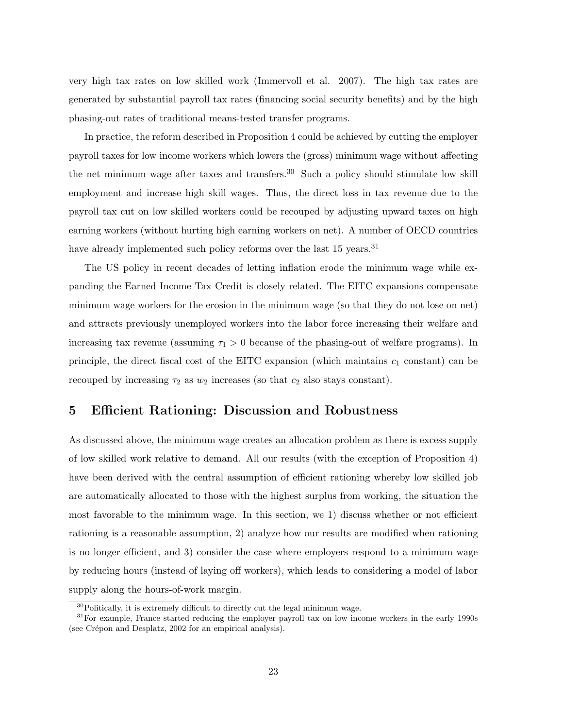very high tax rates on low skilled work (Immervoll et al. 2007). The high tax rates are generated by substantial payroll tax rates (financing social security benefits) and by the high phasing-out rates of traditional means-tested transfer programs.

In practice, the reform described in Proposition 4 could be achieved by cutting the employer payroll taxes for low income workers which lowers the (gross) minimum wage without affecting the net minimum wage after taxes and transfers.<sup>30</sup> Such a policy should stimulate low skill employment and increase high skill wages. Thus, the direct loss in tax revenue due to the payroll tax cut on low skilled workers could be recouped by adjusting upward taxes on high earning workers (without hurting high earning workers on net). A number of OECD countries have already implemented such policy reforms over the last 15 years.<sup>31</sup>

The US policy in recent decades of letting inflation erode the minimum wage while expanding the Earned Income Tax Credit is closely related. The EITC expansions compensate minimum wage workers for the erosion in the minimum wage (so that they do not lose on net) and attracts previously unemployed workers into the labor force increasing their welfare and increasing tax revenue (assuming  $\tau_1 > 0$  because of the phasing-out of welfare programs). In principle, the direct fiscal cost of the EITC expansion (which maintains  $c_1$  constant) can be recouped by increasing  $\tau_2$  as  $w_2$  increases (so that  $c_2$  also stays constant).

# 5 Efficient Rationing: Discussion and Robustness

As discussed above, the minimum wage creates an allocation problem as there is excess supply of low skilled work relative to demand. All our results (with the exception of Proposition 4) have been derived with the central assumption of efficient rationing whereby low skilled job are automatically allocated to those with the highest surplus from working, the situation the most favorable to the minimum wage. In this section, we 1) discuss whether or not efficient rationing is a reasonable assumption, 2) analyze how our results are modified when rationing is no longer efficient, and 3) consider the case where employers respond to a minimum wage by reducing hours (instead of laying off workers), which leads to considering a model of labor supply along the hours-of-work margin.

 $30Politically, it is is extremely difficult to directly cut the legal minimum wage.$ 

<sup>&</sup>lt;sup>31</sup>For example, France started reducing the employer payroll tax on low income workers in the early 1990s (see Crépon and Desplatz, 2002 for an empirical analysis).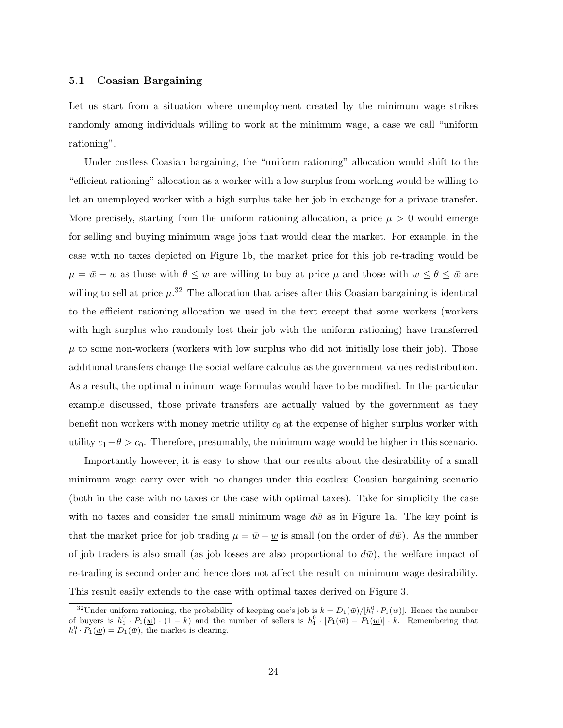# 5.1 Coasian Bargaining

Let us start from a situation where unemployment created by the minimum wage strikes randomly among individuals willing to work at the minimum wage, a case we call "uniform rationing".

Under costless Coasian bargaining, the "uniform rationing" allocation would shift to the "efficient rationing" allocation as a worker with a low surplus from working would be willing to let an unemployed worker with a high surplus take her job in exchange for a private transfer. More precisely, starting from the uniform rationing allocation, a price  $\mu > 0$  would emerge for selling and buying minimum wage jobs that would clear the market. For example, in the case with no taxes depicted on Figure 1b, the market price for this job re-trading would be  $\mu = \bar{w} - \underline{w}$  as those with  $\theta \leq \underline{w}$  are willing to buy at price  $\mu$  and those with  $\underline{w} \leq \theta \leq \bar{w}$  are willing to sell at price  $\mu$ <sup>32</sup>. The allocation that arises after this Coasian bargaining is identical to the efficient rationing allocation we used in the text except that some workers (workers with high surplus who randomly lost their job with the uniform rationing) have transferred  $\mu$  to some non-workers (workers with low surplus who did not initially lose their job). Those additional transfers change the social welfare calculus as the government values redistribution. As a result, the optimal minimum wage formulas would have to be modified. In the particular example discussed, those private transfers are actually valued by the government as they benefit non workers with money metric utility  $c_0$  at the expense of higher surplus worker with utility  $c_1 - \theta > c_0$ . Therefore, presumably, the minimum wage would be higher in this scenario.

Importantly however, it is easy to show that our results about the desirability of a small minimum wage carry over with no changes under this costless Coasian bargaining scenario (both in the case with no taxes or the case with optimal taxes). Take for simplicity the case with no taxes and consider the small minimum wage  $d\bar{w}$  as in Figure 1a. The key point is that the market price for job trading  $\mu = \bar{w} - \underline{w}$  is small (on the order of  $d\bar{w}$ ). As the number of job traders is also small (as job losses are also proportional to  $d\bar{w}$ ), the welfare impact of re-trading is second order and hence does not affect the result on minimum wage desirability. This result easily extends to the case with optimal taxes derived on Figure 3.

<sup>&</sup>lt;sup>32</sup>Under uniform rationing, the probability of keeping one's job is  $k = D_1(\bar{w})/[h_1^0 \cdot P_1(\underline{w})]$ . Hence the number of buyers is  $h_1^0 \cdot P_1(\underline{w}) \cdot (1-k)$  and the number of sellers is  $h_1^0 \cdot [P_1(\overline{w}) - P_1(\underline{w})] \cdot k$ . Remembering that  $h_1^0 \cdot P_1(\underline{w}) = D_1(\overline{w})$ , the market is clearing.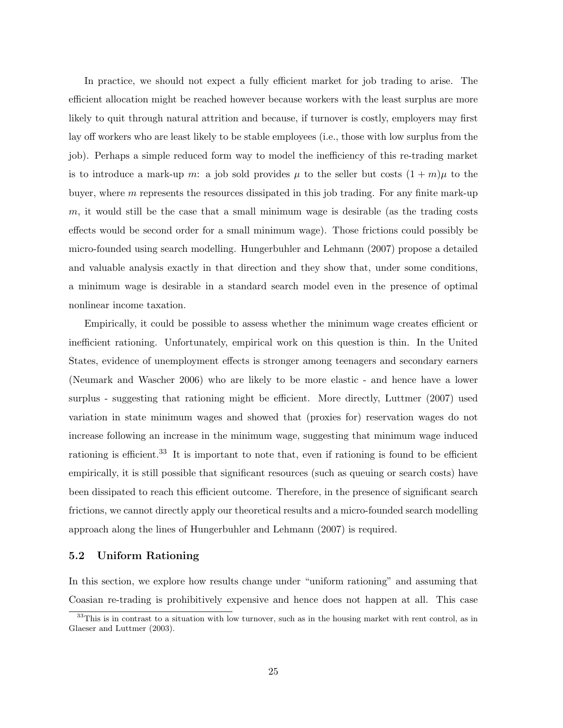In practice, we should not expect a fully efficient market for job trading to arise. The efficient allocation might be reached however because workers with the least surplus are more likely to quit through natural attrition and because, if turnover is costly, employers may first lay off workers who are least likely to be stable employees (i.e., those with low surplus from the job). Perhaps a simple reduced form way to model the inefficiency of this re-trading market is to introduce a mark-up m: a job sold provides  $\mu$  to the seller but costs  $(1+m)\mu$  to the buyer, where m represents the resources dissipated in this job trading. For any finite mark-up m, it would still be the case that a small minimum wage is desirable (as the trading costs effects would be second order for a small minimum wage). Those frictions could possibly be micro-founded using search modelling. Hungerbuhler and Lehmann (2007) propose a detailed and valuable analysis exactly in that direction and they show that, under some conditions, a minimum wage is desirable in a standard search model even in the presence of optimal nonlinear income taxation.

Empirically, it could be possible to assess whether the minimum wage creates efficient or inefficient rationing. Unfortunately, empirical work on this question is thin. In the United States, evidence of unemployment effects is stronger among teenagers and secondary earners (Neumark and Wascher 2006) who are likely to be more elastic - and hence have a lower surplus - suggesting that rationing might be efficient. More directly, Luttmer (2007) used variation in state minimum wages and showed that (proxies for) reservation wages do not increase following an increase in the minimum wage, suggesting that minimum wage induced rationing is efficient.<sup>33</sup> It is important to note that, even if rationing is found to be efficient empirically, it is still possible that significant resources (such as queuing or search costs) have been dissipated to reach this efficient outcome. Therefore, in the presence of significant search frictions, we cannot directly apply our theoretical results and a micro-founded search modelling approach along the lines of Hungerbuhler and Lehmann (2007) is required.

# 5.2 Uniform Rationing

In this section, we explore how results change under "uniform rationing" and assuming that Coasian re-trading is prohibitively expensive and hence does not happen at all. This case

<sup>&</sup>lt;sup>33</sup>This is in contrast to a situation with low turnover, such as in the housing market with rent control, as in Glaeser and Luttmer (2003).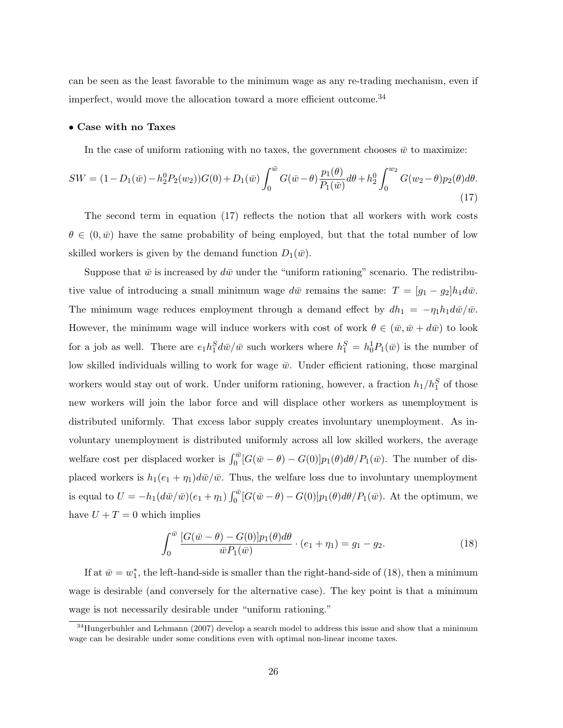can be seen as the least favorable to the minimum wage as any re-trading mechanism, even if imperfect, would move the allocation toward a more efficient outcome.  $^{34}$ 

### • Case with no Taxes

In the case of uniform rationing with no taxes, the government chooses  $\bar{w}$  to maximize:

$$
SW = (1 - D_1(\bar{w}) - h_2^0 P_2(w_2))G(0) + D_1(\bar{w}) \int_0^{\bar{w}} G(\bar{w} - \theta) \frac{p_1(\theta)}{P_1(\bar{w})} d\theta + h_2^0 \int_0^{w_2} G(w_2 - \theta) p_2(\theta) d\theta.
$$
\n(17)

The second term in equation (17) reflects the notion that all workers with work costs  $\theta \in (0, \bar{w})$  have the same probability of being employed, but that the total number of low skilled workers is given by the demand function  $D_1(\bar{w})$ .

Suppose that  $\bar{w}$  is increased by  $d\bar{w}$  under the "uniform rationing" scenario. The redistributive value of introducing a small minimum wage  $d\bar{w}$  remains the same:  $T = [g_1 - g_2]h_1 d\bar{w}$ . The minimum wage reduces employment through a demand effect by  $dh_1 = -\eta_1 h_1 d\bar{w}/\bar{w}$ . However, the minimum wage will induce workers with cost of work  $\theta \in (\bar{w}, \bar{w} + d\bar{w})$  to look for a job as well. There are  $e_1h_1^S d\bar{w}/\bar{w}$  such workers where  $h_1^S = h_0^1 P_1(\bar{w})$  is the number of low skilled individuals willing to work for wage  $\bar{w}$ . Under efficient rationing, those marginal workers would stay out of work. Under uniform rationing, however, a fraction  $h_1/h_1^S$  of those new workers will join the labor force and will displace other workers as unemployment is distributed uniformly. That excess labor supply creates involuntary unemployment. As involuntary unemployment is distributed uniformly across all low skilled workers, the average welfare cost per displaced worker is  $\int_0^{\bar{w}} [G(\bar{w} - \theta) - G(0)] p_1(\theta) d\theta / P_1(\bar{w})$ . The number of displaced workers is  $h_1(e_1 + \eta_1)d\bar{w}/\bar{w}$ . Thus, the welfare loss due to involuntary unemployment is equal to  $U = -h_1(d\bar{w}/\bar{w})(e_1 + \eta_1) \int_0^{\bar{w}} [G(\bar{w} - \theta) - G(0)] p_1(\theta) d\theta / P_1(\bar{w})$ . At the optimum, we have  $U + T = 0$  which implies

$$
\int_0^{\bar{w}} \frac{[G(\bar{w} - \theta) - G(0)] p_1(\theta) d\theta}{\bar{w} P_1(\bar{w})} \cdot (e_1 + \eta_1) = g_1 - g_2. \tag{18}
$$

If at  $\bar{w} = w_1^*$ , the left-hand-side is smaller than the right-hand-side of (18), then a minimum wage is desirable (and conversely for the alternative case). The key point is that a minimum wage is not necessarily desirable under "uniform rationing."

 $34$ Hungerbuhler and Lehmann (2007) develop a search model to address this issue and show that a minimum wage can be desirable under some conditions even with optimal non-linear income taxes.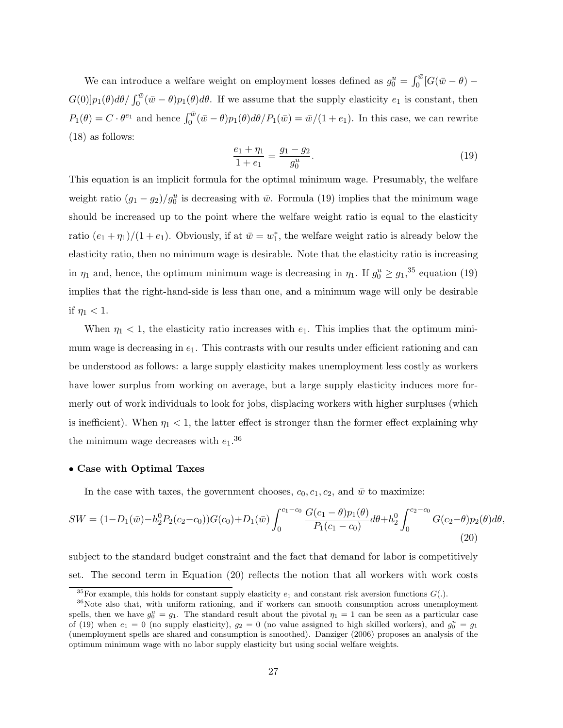We can introduce a welfare weight on employment losses defined as  $g_0^u = \int_0^{\bar{w}} [G(\bar{w} - \theta) G(0)|p_1(\theta)d\theta/ \int_0^{\bar{w}} (\bar{w}-\theta)p_1(\theta)d\theta$ . If we assume that the supply elasticity  $e_1$  is constant, then  $P_1(\theta) = C \cdot \theta^{e_1}$  and hence  $\int_0^{\bar{w}} (\bar{w} - \theta) p_1(\theta) d\theta / P_1(\bar{w}) = \bar{w}/(1 + e_1)$ . In this case, we can rewrite (18) as follows:

$$
\frac{e_1 + \eta_1}{1 + e_1} = \frac{g_1 - g_2}{g_0^u}.\tag{19}
$$

This equation is an implicit formula for the optimal minimum wage. Presumably, the welfare weight ratio  $(g_1 - g_2)/g_0^u$  is decreasing with  $\bar{w}$ . Formula (19) implies that the minimum wage should be increased up to the point where the welfare weight ratio is equal to the elasticity ratio  $(e_1 + \eta_1)/(1 + e_1)$ . Obviously, if at  $\bar{w} = w_1^*$ , the welfare weight ratio is already below the elasticity ratio, then no minimum wage is desirable. Note that the elasticity ratio is increasing in  $\eta_1$  and, hence, the optimum minimum wage is decreasing in  $\eta_1$ . If  $g_0^u \ge g_1$ ,<sup>35</sup> equation (19) implies that the right-hand-side is less than one, and a minimum wage will only be desirable if  $\eta_1 < 1$ .

When  $\eta_1 < 1$ , the elasticity ratio increases with  $e_1$ . This implies that the optimum minimum wage is decreasing in  $e_1$ . This contrasts with our results under efficient rationing and can be understood as follows: a large supply elasticity makes unemployment less costly as workers have lower surplus from working on average, but a large supply elasticity induces more formerly out of work individuals to look for jobs, displacing workers with higher surpluses (which is inefficient). When  $\eta_1 < 1$ , the latter effect is stronger than the former effect explaining why the minimum wage decreases with  $e_1$ <sup>36</sup>

#### • Case with Optimal Taxes

In the case with taxes, the government chooses,  $c_0, c_1, c_2$ , and  $\bar{w}$  to maximize:

$$
SW = (1 - D_1(\bar{w}) - h_2^0 P_2(c_2 - c_0))G(c_0) + D_1(\bar{w}) \int_0^{c_1 - c_0} \frac{G(c_1 - \theta) p_1(\theta)}{P_1(c_1 - c_0)} d\theta + h_2^0 \int_0^{c_2 - c_0} G(c_2 - \theta) p_2(\theta) d\theta,
$$
\n(20)

subject to the standard budget constraint and the fact that demand for labor is competitively set. The second term in Equation (20) reflects the notion that all workers with work costs

<sup>&</sup>lt;sup>35</sup>For example, this holds for constant supply elasticity  $e_1$  and constant risk aversion functions  $G(.)$ .

 $36$ Note also that, with uniform rationing, and if workers can smooth consumption across unemployment spells, then we have  $g_0^u = g_1$ . The standard result about the pivotal  $\eta_1 = 1$  can be seen as a particular case of (19) when  $e_1 = 0$  (no supply elasticity),  $g_2 = 0$  (no value assigned to high skilled workers), and  $g_0^u = g_1$ (unemployment spells are shared and consumption is smoothed). Danziger (2006) proposes an analysis of the optimum minimum wage with no labor supply elasticity but using social welfare weights.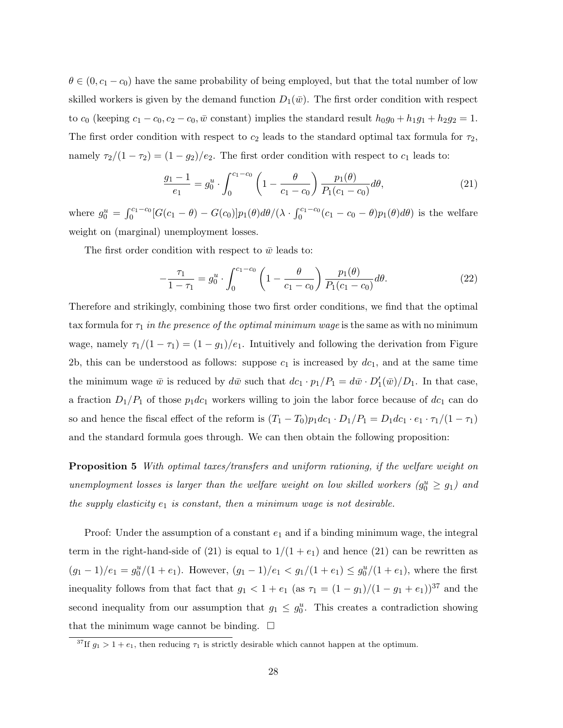$\theta \in (0, c_1 - c_0)$  have the same probability of being employed, but that the total number of low skilled workers is given by the demand function  $D_1(\bar{w})$ . The first order condition with respect to  $c_0$  (keeping  $c_1 - c_0$ ,  $c_2 - c_0$ ,  $\bar{w}$  constant) implies the standard result  $h_0g_0 + h_1g_1 + h_2g_2 = 1$ . The first order condition with respect to  $c_2$  leads to the standard optimal tax formula for  $\tau_2$ , namely  $\tau_2/(1 - \tau_2) = (1 - g_2)/e_2$ . The first order condition with respect to  $c_1$  leads to:

$$
\frac{g_1 - 1}{e_1} = g_0^u \cdot \int_0^{c_1 - c_0} \left( 1 - \frac{\theta}{c_1 - c_0} \right) \frac{p_1(\theta)}{P_1(c_1 - c_0)} d\theta,
$$
\n(21)

where  $g_0^u = \int_0^{c_1 - c_0} [G(c_1 - \theta) - G(c_0)] p_1(\theta) d\theta / (\lambda \cdot \int_0^{c_1 - c_0} (c_1 - c_0 - \theta) p_1(\theta) d\theta)$  is the welfare weight on (marginal) unemployment losses.

The first order condition with respect to  $\bar{w}$  leads to:

$$
-\frac{\tau_1}{1-\tau_1} = g_0^u \cdot \int_0^{c_1-c_0} \left(1 - \frac{\theta}{c_1 - c_0}\right) \frac{p_1(\theta)}{P_1(c_1 - c_0)} d\theta. \tag{22}
$$

Therefore and strikingly, combining those two first order conditions, we find that the optimal tax formula for  $\tau_1$  in the presence of the optimal minimum wage is the same as with no minimum wage, namely  $\tau_1/(1 - \tau_1) = (1 - g_1)/e_1$ . Intuitively and following the derivation from Figure 2b, this can be understood as follows: suppose  $c_1$  is increased by  $dc_1$ , and at the same time the minimum wage  $\bar{w}$  is reduced by  $d\bar{w}$  such that  $dc_1 \cdot p_1/P_1 = d\bar{w} \cdot D_1'(\bar{w})/D_1$ . In that case, a fraction  $D_1/P_1$  of those  $p_1dc_1$  workers willing to join the labor force because of  $dc_1$  can do so and hence the fiscal effect of the reform is  $(T_1 - T_0)p_1dc_1 \cdot D_1/P_1 = D_1dc_1 \cdot e_1 \cdot \tau_1/(1 - \tau_1)$ and the standard formula goes through. We can then obtain the following proposition:

Proposition 5 With optimal taxes/transfers and uniform rationing, if the welfare weight on unemployment losses is larger than the welfare weight on low skilled workers  $(g_0^u \geq g_1)$  and the supply elasticity  $e_1$  is constant, then a minimum wage is not desirable.

Proof: Under the assumption of a constant  $e_1$  and if a binding minimum wage, the integral term in the right-hand-side of (21) is equal to  $1/(1+e_1)$  and hence (21) can be rewritten as  $(g_1-1)/e_1 = g_0^u/(1+e_1)$ . However,  $(g_1-1)/e_1 < g_1/(1+e_1) \leq g_0^u/(1+e_1)$ , where the first inequality follows from that fact that  $g_1 < 1 + e_1$  (as  $\tau_1 = (1 - g_1)/(1 - g_1 + e_1)^{37}$  and the second inequality from our assumption that  $g_1 \leq g_0^u$ . This creates a contradiction showing that the minimum wage cannot be binding.  $\square$ 

<sup>&</sup>lt;sup>37</sup>If  $g_1 > 1 + e_1$ , then reducing  $\tau_1$  is strictly desirable which cannot happen at the optimum.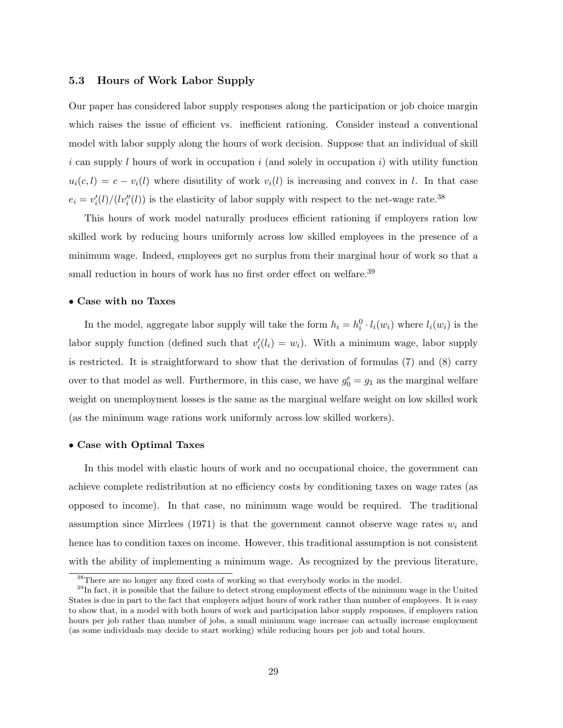# 5.3 Hours of Work Labor Supply

Our paper has considered labor supply responses along the participation or job choice margin which raises the issue of efficient vs. inefficient rationing. Consider instead a conventional model with labor supply along the hours of work decision. Suppose that an individual of skill i can supply l hours of work in occupation i (and solely in occupation i) with utility function  $u_i(c, l) = c - v_i(l)$  where disutility of work  $v_i(l)$  is increasing and convex in l. In that case  $e_i = v'_i(l)/(lv''_i(l))$  is the elasticity of labor supply with respect to the net-wage rate.<sup>38</sup>

This hours of work model naturally produces efficient rationing if employers ration low skilled work by reducing hours uniformly across low skilled employees in the presence of a minimum wage. Indeed, employees get no surplus from their marginal hour of work so that a small reduction in hours of work has no first order effect on welfare.<sup>39</sup>

#### • Case with no Taxes

In the model, aggregate labor supply will take the form  $h_i = h_i^0 \cdot l_i(w_i)$  where  $l_i(w_i)$  is the labor supply function (defined such that  $v_i'(l_i) = w_i$ ). With a minimum wage, labor supply is restricted. It is straightforward to show that the derivation of formulas (7) and (8) carry over to that model as well. Furthermore, in this case, we have  $g_0^e = g_1$  as the marginal welfare weight on unemployment losses is the same as the marginal welfare weight on low skilled work (as the minimum wage rations work uniformly across low skilled workers).

#### • Case with Optimal Taxes

In this model with elastic hours of work and no occupational choice, the government can achieve complete redistribution at no efficiency costs by conditioning taxes on wage rates (as opposed to income). In that case, no minimum wage would be required. The traditional assumption since Mirrlees (1971) is that the government cannot observe wage rates  $w_i$  and hence has to condition taxes on income. However, this traditional assumption is not consistent with the ability of implementing a minimum wage. As recognized by the previous literature,

<sup>38</sup>There are no longer any fixed costs of working so that everybody works in the model.

 $39$ In fact, it is possible that the failure to detect strong employment effects of the minimum wage in the United States is due in part to the fact that employers adjust hours of work rather than number of employees. It is easy to show that, in a model with both hours of work and participation labor supply responses, if employers ration hours per job rather than number of jobs, a small minimum wage increase can actually increase employment (as some individuals may decide to start working) while reducing hours per job and total hours.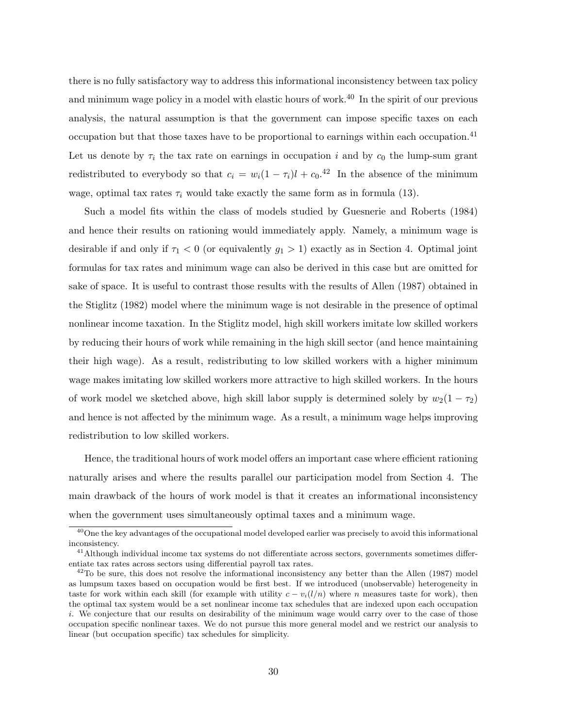there is no fully satisfactory way to address this informational inconsistency between tax policy and minimum wage policy in a model with elastic hours of work.<sup>40</sup> In the spirit of our previous analysis, the natural assumption is that the government can impose specific taxes on each occupation but that those taxes have to be proportional to earnings within each occupation.<sup>41</sup> Let us denote by  $\tau_i$  the tax rate on earnings in occupation i and by  $c_0$  the lump-sum grant redistributed to everybody so that  $c_i = w_i(1 - \tau_i)l + c_0$ .<sup>42</sup> In the absence of the minimum wage, optimal tax rates  $\tau_i$  would take exactly the same form as in formula (13).

Such a model fits within the class of models studied by Guesnerie and Roberts (1984) and hence their results on rationing would immediately apply. Namely, a minimum wage is desirable if and only if  $\tau_1 < 0$  (or equivalently  $g_1 > 1$ ) exactly as in Section 4. Optimal joint formulas for tax rates and minimum wage can also be derived in this case but are omitted for sake of space. It is useful to contrast those results with the results of Allen (1987) obtained in the Stiglitz (1982) model where the minimum wage is not desirable in the presence of optimal nonlinear income taxation. In the Stiglitz model, high skill workers imitate low skilled workers by reducing their hours of work while remaining in the high skill sector (and hence maintaining their high wage). As a result, redistributing to low skilled workers with a higher minimum wage makes imitating low skilled workers more attractive to high skilled workers. In the hours of work model we sketched above, high skill labor supply is determined solely by  $w_2(1 - \tau_2)$ and hence is not affected by the minimum wage. As a result, a minimum wage helps improving redistribution to low skilled workers.

Hence, the traditional hours of work model offers an important case where efficient rationing naturally arises and where the results parallel our participation model from Section 4. The main drawback of the hours of work model is that it creates an informational inconsistency when the government uses simultaneously optimal taxes and a minimum wage.

 $\frac{40}{40}$ One the key advantages of the occupational model developed earlier was precisely to avoid this informational inconsistency.

 $^{41}$ Although individual income tax systems do not differentiate across sectors, governments sometimes differentiate tax rates across sectors using differential payroll tax rates.

 $^{42}$ To be sure, this does not resolve the informational inconsistency any better than the Allen (1987) model as lumpsum taxes based on occupation would be first best. If we introduced (unobservable) heterogeneity in taste for work within each skill (for example with utility  $c - v_i(l/n)$  where n measures taste for work), then the optimal tax system would be a set nonlinear income tax schedules that are indexed upon each occupation i. We conjecture that our results on desirability of the minimum wage would carry over to the case of those occupation specific nonlinear taxes. We do not pursue this more general model and we restrict our analysis to linear (but occupation specific) tax schedules for simplicity.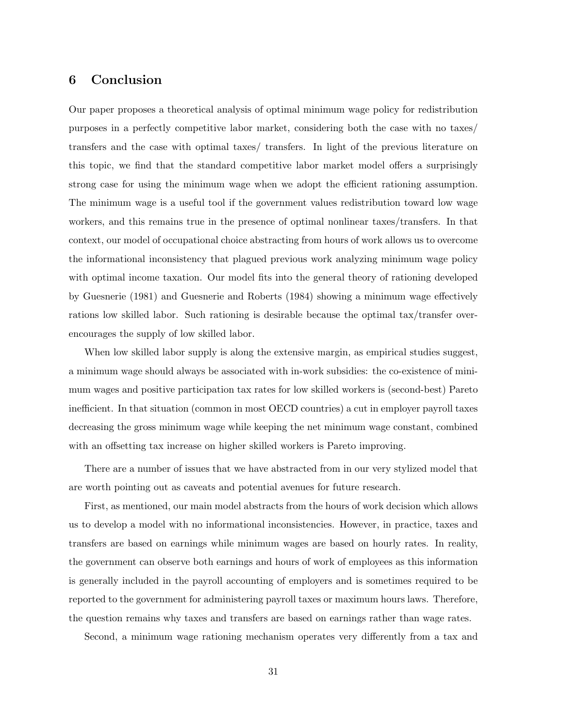# 6 Conclusion

Our paper proposes a theoretical analysis of optimal minimum wage policy for redistribution purposes in a perfectly competitive labor market, considering both the case with no taxes/ transfers and the case with optimal taxes/ transfers. In light of the previous literature on this topic, we find that the standard competitive labor market model offers a surprisingly strong case for using the minimum wage when we adopt the efficient rationing assumption. The minimum wage is a useful tool if the government values redistribution toward low wage workers, and this remains true in the presence of optimal nonlinear taxes/transfers. In that context, our model of occupational choice abstracting from hours of work allows us to overcome the informational inconsistency that plagued previous work analyzing minimum wage policy with optimal income taxation. Our model fits into the general theory of rationing developed by Guesnerie (1981) and Guesnerie and Roberts (1984) showing a minimum wage effectively rations low skilled labor. Such rationing is desirable because the optimal tax/transfer overencourages the supply of low skilled labor.

When low skilled labor supply is along the extensive margin, as empirical studies suggest, a minimum wage should always be associated with in-work subsidies: the co-existence of minimum wages and positive participation tax rates for low skilled workers is (second-best) Pareto inefficient. In that situation (common in most OECD countries) a cut in employer payroll taxes decreasing the gross minimum wage while keeping the net minimum wage constant, combined with an offsetting tax increase on higher skilled workers is Pareto improving.

There are a number of issues that we have abstracted from in our very stylized model that are worth pointing out as caveats and potential avenues for future research.

First, as mentioned, our main model abstracts from the hours of work decision which allows us to develop a model with no informational inconsistencies. However, in practice, taxes and transfers are based on earnings while minimum wages are based on hourly rates. In reality, the government can observe both earnings and hours of work of employees as this information is generally included in the payroll accounting of employers and is sometimes required to be reported to the government for administering payroll taxes or maximum hours laws. Therefore, the question remains why taxes and transfers are based on earnings rather than wage rates.

Second, a minimum wage rationing mechanism operates very differently from a tax and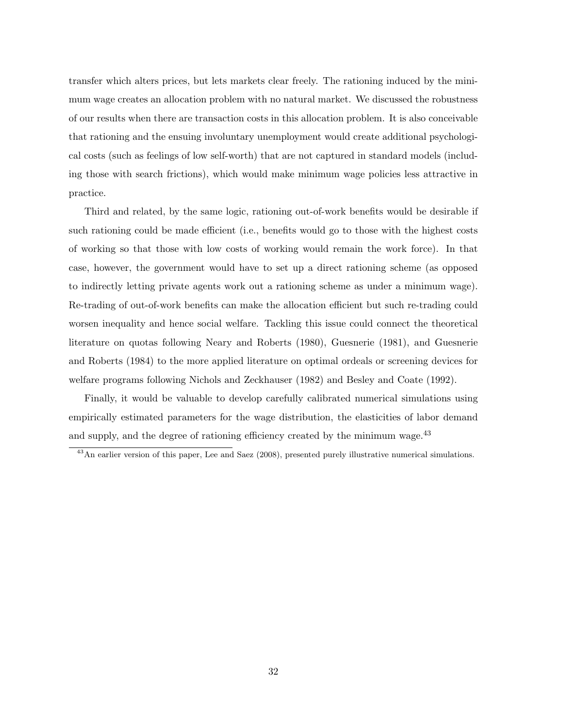transfer which alters prices, but lets markets clear freely. The rationing induced by the minimum wage creates an allocation problem with no natural market. We discussed the robustness of our results when there are transaction costs in this allocation problem. It is also conceivable that rationing and the ensuing involuntary unemployment would create additional psychological costs (such as feelings of low self-worth) that are not captured in standard models (including those with search frictions), which would make minimum wage policies less attractive in practice.

Third and related, by the same logic, rationing out-of-work benefits would be desirable if such rationing could be made efficient (i.e., benefits would go to those with the highest costs of working so that those with low costs of working would remain the work force). In that case, however, the government would have to set up a direct rationing scheme (as opposed to indirectly letting private agents work out a rationing scheme as under a minimum wage). Re-trading of out-of-work benefits can make the allocation efficient but such re-trading could worsen inequality and hence social welfare. Tackling this issue could connect the theoretical literature on quotas following Neary and Roberts (1980), Guesnerie (1981), and Guesnerie and Roberts (1984) to the more applied literature on optimal ordeals or screening devices for welfare programs following Nichols and Zeckhauser (1982) and Besley and Coate (1992).

Finally, it would be valuable to develop carefully calibrated numerical simulations using empirically estimated parameters for the wage distribution, the elasticities of labor demand and supply, and the degree of rationing efficiency created by the minimum wage.<sup>43</sup>

<sup>43</sup>An earlier version of this paper, Lee and Saez (2008), presented purely illustrative numerical simulations.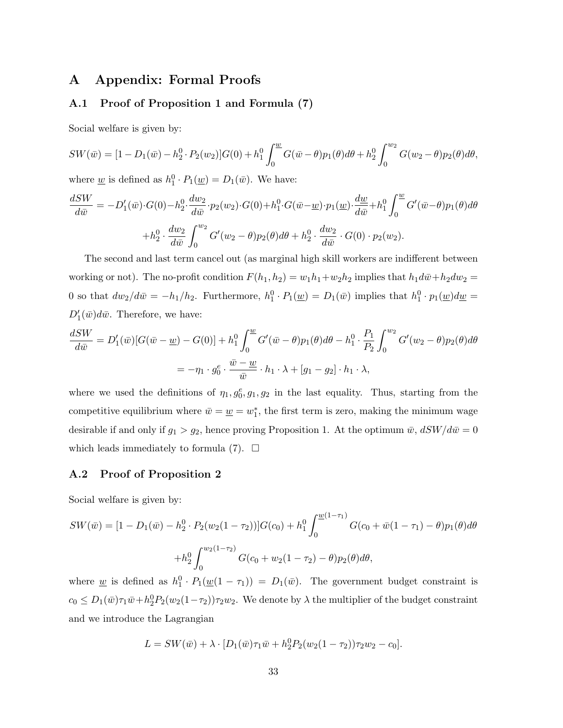# A Appendix: Formal Proofs

# A.1 Proof of Proposition 1 and Formula (7)

Social welfare is given by:

$$
SW(\bar{w}) = [1 - D_1(\bar{w}) - h_2^0 \cdot P_2(w_2)]G(0) + h_1^0 \int_0^{\bar{w}} G(\bar{w} - \theta) p_1(\theta) d\theta + h_2^0 \int_0^{\bar{w}_2} G(w_2 - \theta) p_2(\theta) d\theta,
$$

where <u>w</u> is defined as  $h_1^0 \cdot P_1(\underline{w}) = D_1(\overline{w})$ . We have:

$$
\frac{dSW}{d\bar{w}} = -D_1'(\bar{w}) \cdot G(0) - h_2^0 \cdot \frac{dw_2}{d\bar{w}} \cdot p_2(w_2) \cdot G(0) + h_1^0 \cdot G(\bar{w} - \underline{w}) \cdot p_1(\underline{w}) \cdot \frac{d\underline{w}}{d\bar{w}} + h_1^0 \int_0^{\underline{w}} G'(\bar{w} - \theta) p_1(\theta) d\theta
$$

$$
+ h_2^0 \cdot \frac{dw_2}{d\bar{w}} \int_0^{\underline{w}_2} G'(w_2 - \theta) p_2(\theta) d\theta + h_2^0 \cdot \frac{dw_2}{d\bar{w}} \cdot G(0) \cdot p_2(w_2).
$$

The second and last term cancel out (as marginal high skill workers are indifferent between working or not). The no-profit condition  $F(h_1, h_2) = w_1h_1 + w_2h_2$  implies that  $h_1d\bar{w} + h_2dw_2 =$ 0 so that  $dw_2/d\bar{w} = -h_1/h_2$ . Furthermore,  $h_1^0 \cdot P_1(\underline{w}) = D_1(\bar{w})$  implies that  $h_1^0 \cdot p_1(\underline{w})d\underline{w} =$  $D_1'(\bar{w})d\bar{w}$ . Therefore, we have:

$$
\frac{dSW}{d\bar{w}} = D'_1(\bar{w})[G(\bar{w} - \underline{w}) - G(0)] + h_1^0 \int_0^{\underline{w}} G'(\bar{w} - \theta) p_1(\theta) d\theta - h_1^0 \cdot \frac{P_1}{P_2} \int_0^{\underline{w}_2} G'(w_2 - \theta) p_2(\theta) d\theta
$$

$$
= -\eta_1 \cdot g_0^e \cdot \frac{\bar{w} - \underline{w}}{\bar{w}} \cdot h_1 \cdot \lambda + [g_1 - g_2] \cdot h_1 \cdot \lambda,
$$

where we used the definitions of  $\eta_1, g_0^e, g_1, g_2$  in the last equality. Thus, starting from the competitive equilibrium where  $\bar{w} = \underline{w} = w_1^*$ , the first term is zero, making the minimum wage desirable if and only if  $g_1 > g_2$ , hence proving Proposition 1. At the optimum  $\bar{w}$ ,  $dSW/d\bar{w} = 0$ which leads immediately to formula  $(7)$ .  $\Box$ 

## A.2 Proof of Proposition 2

Social welfare is given by:

$$
SW(\bar{w}) = [1 - D_1(\bar{w}) - h_2^0 \cdot P_2(w_2(1 - \tau_2))]G(c_0) + h_1^0 \int_0^{\underline{w}(1 - \tau_1)} G(c_0 + \bar{w}(1 - \tau_1) - \theta) p_1(\theta) d\theta
$$

$$
+ h_2^0 \int_0^{\underline{w}_2(1 - \tau_2)} G(c_0 + w_2(1 - \tau_2) - \theta) p_2(\theta) d\theta,
$$

where <u>w</u> is defined as  $h_1^0 \cdot P_1(\underline{w}(1-\tau_1)) = D_1(\overline{w})$ . The government budget constraint is  $c_0 \leq D_1(\bar{w})\tau_1\bar{w} + h_2^0 P_2(w_2(1-\tau_2))\tau_2w_2$ . We denote by  $\lambda$  the multiplier of the budget constraint and we introduce the Lagrangian

$$
L = SW(\bar{w}) + \lambda \cdot [D_1(\bar{w})\tau_1\bar{w} + h_2^0 P_2(w_2(1-\tau_2))\tau_2w_2 - c_0].
$$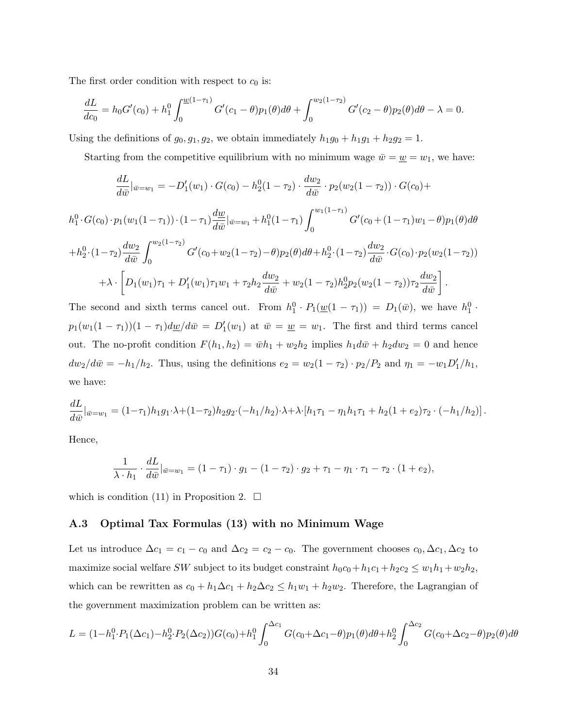The first order condition with respect to  $c_0$  is:

$$
\frac{dL}{dc_0} = h_0 G'(c_0) + h_1^0 \int_0^{\underline{w}(1-\tau_1)} G'(c_1 - \theta) p_1(\theta) d\theta + \int_0^{\underline{w}_2(1-\tau_2)} G'(c_2 - \theta) p_2(\theta) d\theta - \lambda = 0.
$$

Using the definitions of  $g_0, g_1, g_2$ , we obtain immediately  $h_1g_0 + h_1g_1 + h_2g_2 = 1$ .

Starting from the competitive equilibrium with no minimum wage  $\bar{w} = \underline{w} = w_1$ , we have:

$$
\frac{dL}{d\bar{w}}|_{\bar{w}=w_1} = -D'_1(w_1) \cdot G(c_0) - h_2^0(1-\tau_2) \cdot \frac{dw_2}{d\bar{w}} \cdot p_2(w_2(1-\tau_2)) \cdot G(c_0) +
$$

$$
h_1^0 \cdot G(c_0) \cdot p_1(w_1(1-\tau_1)) \cdot (1-\tau_1) \frac{dw}{d\bar{w}}|_{\bar{w}=w_1} + h_1^0(1-\tau_1) \int_0^{w_1(1-\tau_1)} G'(c_0 + (1-\tau_1)w_1 - \theta) p_1(\theta) d\theta
$$

$$
+h_2^0 \cdot (1-\tau_2) \frac{dw_2}{d\bar{w}} \int_0^{w_2(1-\tau_2)} G'(c_0+w_2(1-\tau_2)-\theta) p_2(\theta) d\theta + h_2^0 \cdot (1-\tau_2) \frac{dw_2}{d\bar{w}} \cdot G(c_0) \cdot p_2(w_2(1-\tau_2))
$$
  
 
$$
+ \lambda \cdot \left[ D_1(w_1)\tau_1 + D_1'(w_1)\tau_1 w_1 + \tau_2 h_2 \frac{dw_2}{d\bar{w}} + w_2(1-\tau_2) h_2^0 p_2(w_2(1-\tau_2)) \tau_2 \frac{dw_2}{d\bar{w}} \right].
$$

The second and sixth terms cancel out. From  $h_1^0 \cdot P_1(\underline{w}(1-\tau_1)) = D_1(\overline{w})$ , we have  $h_1^0 \cdot P_1(\overline{w}(1-\tau_1)) = D_1(\overline{w})$  $p_1(w_1(1-\tau_1))(1-\tau_1)d\underline{w}/d\bar{w} = D'_1(w_1)$  at  $\bar{w} = \underline{w} = w_1$ . The first and third terms cancel out. The no-profit condition  $F(h_1, h_2) = \bar{w}h_1 + w_2h_2$  implies  $h_1d\bar{w} + h_2dw_2 = 0$  and hence  $dw_2/d\bar{w} = -h_1/h_2$ . Thus, using the definitions  $e_2 = w_2(1 - \tau_2) \cdot p_2/P_2$  and  $\eta_1 = -w_1D'_1/h_1$ , we have:

$$
\frac{dL}{d\bar{w}}|_{\bar{w}=w_1} = (1-\tau_1)h_1g_1 \cdot \lambda + (1-\tau_2)h_2g_2 \cdot (-h_1/h_2) \cdot \lambda + \lambda \cdot [h_1\tau_1 - \eta_1h_1\tau_1 + h_2(1+e_2)\tau_2 \cdot (-h_1/h_2)].
$$

Hence,

$$
\frac{1}{\lambda \cdot h_1} \cdot \frac{dL}{d\bar{w}}|_{\bar{w}=w_1} = (1 - \tau_1) \cdot g_1 - (1 - \tau_2) \cdot g_2 + \tau_1 - \eta_1 \cdot \tau_1 - \tau_2 \cdot (1 + e_2),
$$

which is condition (11) in Proposition 2.  $\Box$ 

# A.3 Optimal Tax Formulas (13) with no Minimum Wage

Let us introduce  $\Delta c_1 = c_1 - c_0$  and  $\Delta c_2 = c_2 - c_0$ . The government chooses  $c_0, \Delta c_1, \Delta c_2$  to maximize social welfare SW subject to its budget constraint  $h_0c_0+h_1c_1+h_2c_2 \leq w_1h_1+w_2h_2$ , which can be rewritten as  $c_0 + h_1 \Delta c_1 + h_2 \Delta c_2 \leq h_1 w_1 + h_2 w_2$ . Therefore, the Lagrangian of the government maximization problem can be written as:

$$
L = (1 - h_1^0 \cdot P_1(\Delta c_1) - h_2^0 \cdot P_2(\Delta c_2))G(c_0) + h_1^0 \int_0^{\Delta c_1} G(c_0 + \Delta c_1 - \theta) p_1(\theta) d\theta + h_2^0 \int_0^{\Delta c_2} G(c_0 + \Delta c_2 - \theta) p_2(\theta) d\theta
$$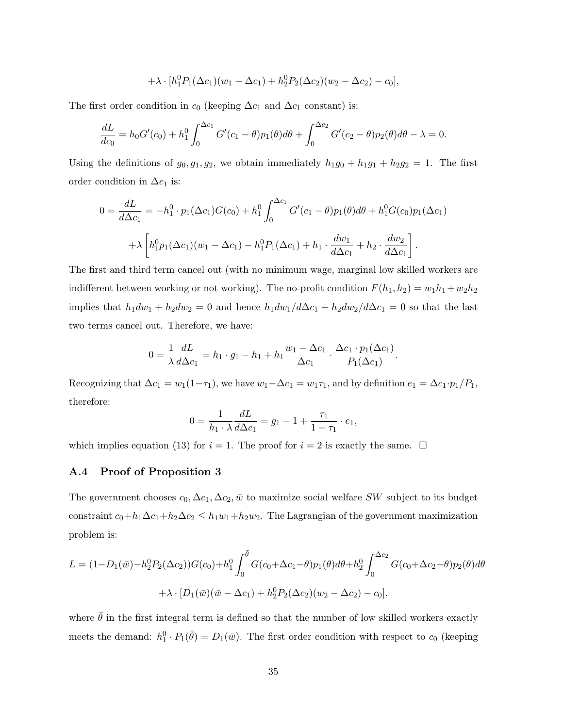$$
+\lambda \cdot [h_1^0 P_1(\Delta c_1)(w_1 - \Delta c_1) + h_2^0 P_2(\Delta c_2)(w_2 - \Delta c_2) - c_0],
$$

The first order condition in  $c_0$  (keeping  $\Delta c_1$  and  $\Delta c_1$  constant) is:

$$
\frac{dL}{dc_0} = h_0 G'(c_0) + h_1^0 \int_0^{\Delta c_1} G'(c_1 - \theta) p_1(\theta) d\theta + \int_0^{\Delta c_2} G'(c_2 - \theta) p_2(\theta) d\theta - \lambda = 0.
$$

Using the definitions of  $g_0, g_1, g_2$ , we obtain immediately  $h_1g_0 + h_1g_1 + h_2g_2 = 1$ . The first order condition in  $\Delta c_1$  is:

$$
0 = \frac{dL}{d\Delta c_1} = -h_1^0 \cdot p_1(\Delta c_1)G(c_0) + h_1^0 \int_0^{\Delta c_1} G'(c_1 - \theta) p_1(\theta) d\theta + h_1^0 G(c_0) p_1(\Delta c_1)
$$

$$
+ \lambda \left[ h_1^0 p_1(\Delta c_1)(w_1 - \Delta c_1) - h_1^0 P_1(\Delta c_1) + h_1 \cdot \frac{dw_1}{d\Delta c_1} + h_2 \cdot \frac{dw_2}{d\Delta c_1} \right].
$$

The first and third term cancel out (with no minimum wage, marginal low skilled workers are indifferent between working or not working). The no-profit condition  $F(h_1, h_2) = w_1h_1 + w_2h_2$ implies that  $h_1 dw_1 + h_2 dw_2 = 0$  and hence  $h_1 dw_1/d\Delta c_1 + h_2 dw_2/d\Delta c_1 = 0$  so that the last two terms cancel out. Therefore, we have:

$$
0 = \frac{1}{\lambda} \frac{dL}{d\Delta c_1} = h_1 \cdot g_1 - h_1 + h_1 \frac{w_1 - \Delta c_1}{\Delta c_1} \cdot \frac{\Delta c_1 \cdot p_1(\Delta c_1)}{P_1(\Delta c_1)}.
$$

Recognizing that  $\Delta c_1 = w_1(1-\tau_1)$ , we have  $w_1-\Delta c_1 = w_1\tau_1$ , and by definition  $e_1 = \Delta c_1 \cdot p_1/P_1$ , therefore:

$$
0 = \frac{1}{h_1 \cdot \lambda} \frac{dL}{d\Delta c_1} = g_1 - 1 + \frac{\tau_1}{1 - \tau_1} \cdot e_1,
$$

which implies equation (13) for  $i = 1$ . The proof for  $i = 2$  is exactly the same.  $\Box$ 

# A.4 Proof of Proposition 3

The government chooses  $c_0, \Delta c_1, \Delta c_2, \bar{w}$  to maximize social welfare SW subject to its budget constraint  $c_0+h_1\Delta c_1+h_2\Delta c_2 \leq h_1w_1+h_2w_2$ . The Lagrangian of the government maximization problem is:

$$
L = (1 - D_1(\bar{w}) - h_2^0 P_2(\Delta c_2)) G(c_0) + h_1^0 \int_0^{\bar{\theta}} G(c_0 + \Delta c_1 - \theta) p_1(\theta) d\theta + h_2^0 \int_0^{\Delta c_2} G(c_0 + \Delta c_2 - \theta) p_2(\theta) d\theta
$$

$$
+ \lambda \cdot [D_1(\bar{w})(\bar{w} - \Delta c_1) + h_2^0 P_2(\Delta c_2)(w_2 - \Delta c_2) - c_0].
$$

where  $\bar{\theta}$  in the first integral term is defined so that the number of low skilled workers exactly meets the demand:  $h_1^0 \cdot P_1(\bar{\theta}) = D_1(\bar{w})$ . The first order condition with respect to  $c_0$  (keeping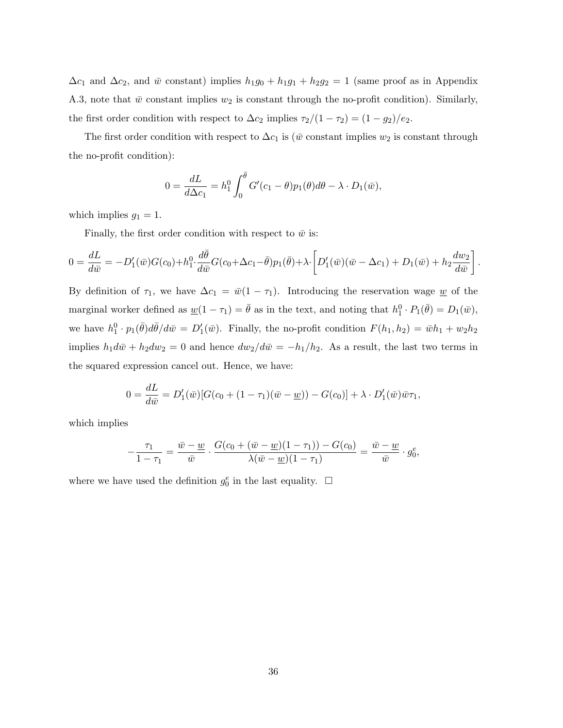$\Delta c_1$  and  $\Delta c_2$ , and  $\bar{w}$  constant) implies  $h_1g_0 + h_1g_1 + h_2g_2 = 1$  (same proof as in Appendix A.3, note that  $\bar{w}$  constant implies  $w_2$  is constant through the no-profit condition). Similarly, the first order condition with respect to  $\Delta c_2$  implies  $\tau_2/(1 - \tau_2) = (1 - g_2)/e_2$ .

The first order condition with respect to  $\Delta c_1$  is ( $\bar{w}$  constant implies  $w_2$  is constant through the no-profit condition):

$$
0 = \frac{dL}{d\Delta c_1} = h_1^0 \int_0^{\bar{\theta}} G'(c_1 - \theta) p_1(\theta) d\theta - \lambda \cdot D_1(\bar{w}),
$$

which implies  $g_1 = 1$ .

Finally, the first order condition with respect to  $\bar{w}$  is:

$$
0 = \frac{dL}{d\bar{w}} = -D'_1(\bar{w})G(c_0) + h_1^0 \cdot \frac{d\bar{\theta}}{d\bar{w}}G(c_0 + \Delta c_1 - \bar{\theta})p_1(\bar{\theta}) + \lambda \cdot \left[D'_1(\bar{w})(\bar{w} - \Delta c_1) + D_1(\bar{w}) + h_2\frac{dw_2}{d\bar{w}}\right]
$$

.

By definition of  $\tau_1$ , we have  $\Delta c_1 = \bar{w}(1 - \tau_1)$ . Introducing the reservation wage <u>w</u> of the marginal worker defined as  $\underline{w}(1-\tau_1) = \overline{\theta}$  as in the text, and noting that  $h_1^0 \cdot P_1(\overline{\theta}) = D_1(\overline{w})$ , we have  $h_1^0 \cdot p_1(\bar{\theta})d\bar{\theta}/d\bar{w} = D'_1(\bar{w})$ . Finally, the no-profit condition  $F(h_1, h_2) = \bar{w}h_1 + w_2h_2$ implies  $h_1 d\bar{w} + h_2 dw_2 = 0$  and hence  $dw_2/d\bar{w} = -h_1/h_2$ . As a result, the last two terms in the squared expression cancel out. Hence, we have:

$$
0 = \frac{dL}{d\bar{w}} = D'_1(\bar{w})[G(c_0 + (1 - \tau_1)(\bar{w} - \underline{w})) - G(c_0)] + \lambda \cdot D'_1(\bar{w})\bar{w}\tau_1,
$$

which implies

$$
-\frac{\tau_1}{1-\tau_1}=\frac{\bar{w}-\underline{w}}{\bar{w}}\cdot\frac{G(c_0+(\bar{w}-\underline{w})(1-\tau_1))-G(c_0)}{\lambda(\bar{w}-\underline{w})(1-\tau_1)}=\frac{\bar{w}-\underline{w}}{\bar{w}}\cdot g_0^e,
$$

where we have used the definition  $g_0^e$  in the last equality.  $\Box$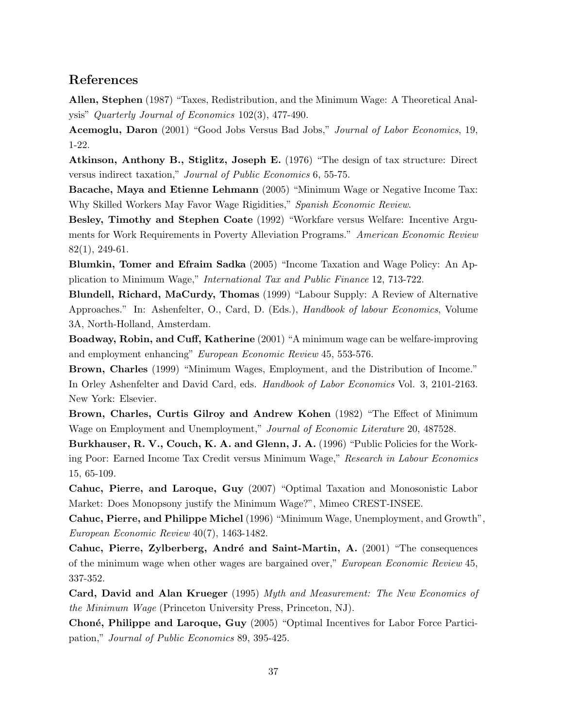# References

Allen, Stephen (1987) "Taxes, Redistribution, and the Minimum Wage: A Theoretical Analysis" Quarterly Journal of Economics 102(3), 477-490.

Acemoglu, Daron (2001) "Good Jobs Versus Bad Jobs," Journal of Labor Economics, 19, 1-22.

Atkinson, Anthony B., Stiglitz, Joseph E. (1976) "The design of tax structure: Direct versus indirect taxation," Journal of Public Economics 6, 55-75.

Bacache, Maya and Etienne Lehmann (2005) "Minimum Wage or Negative Income Tax: Why Skilled Workers May Favor Wage Rigidities," Spanish Economic Review.

Besley, Timothy and Stephen Coate (1992) "Workfare versus Welfare: Incentive Arguments for Work Requirements in Poverty Alleviation Programs." American Economic Review 82(1), 249-61.

Blumkin, Tomer and Efraim Sadka (2005) "Income Taxation and Wage Policy: An Application to Minimum Wage," International Tax and Public Finance 12, 713-722.

Blundell, Richard, MaCurdy, Thomas (1999) "Labour Supply: A Review of Alternative Approaches." In: Ashenfelter, O., Card, D. (Eds.), Handbook of labour Economics, Volume 3A, North-Holland, Amsterdam.

Boadway, Robin, and Cuff, Katherine (2001) "A minimum wage can be welfare-improving and employment enhancing" European Economic Review 45, 553-576.

Brown, Charles (1999) "Minimum Wages, Employment, and the Distribution of Income." In Orley Ashenfelter and David Card, eds. Handbook of Labor Economics Vol. 3, 2101-2163. New York: Elsevier.

Brown, Charles, Curtis Gilroy and Andrew Kohen (1982) "The Effect of Minimum Wage on Employment and Unemployment," Journal of Economic Literature 20, 487528.

Burkhauser, R. V., Couch, K. A. and Glenn, J. A. (1996) "Public Policies for the Working Poor: Earned Income Tax Credit versus Minimum Wage," Research in Labour Economics 15, 65-109.

Cahuc, Pierre, and Laroque, Guy (2007) "Optimal Taxation and Monosonistic Labor Market: Does Monopsony justify the Minimum Wage?", Mimeo CREST-INSEE.

Cahuc, Pierre, and Philippe Michel (1996) "Minimum Wage, Unemployment, and Growth", European Economic Review 40(7), 1463-1482.

Cahuc, Pierre, Zylberberg, André and Saint-Martin, A. (2001) "The consequences of the minimum wage when other wages are bargained over," European Economic Review 45, 337-352.

Card, David and Alan Krueger (1995) Myth and Measurement: The New Economics of the Minimum Wage (Princeton University Press, Princeton, NJ).

Choné, Philippe and Laroque, Guy (2005) "Optimal Incentives for Labor Force Participation," Journal of Public Economics 89, 395-425.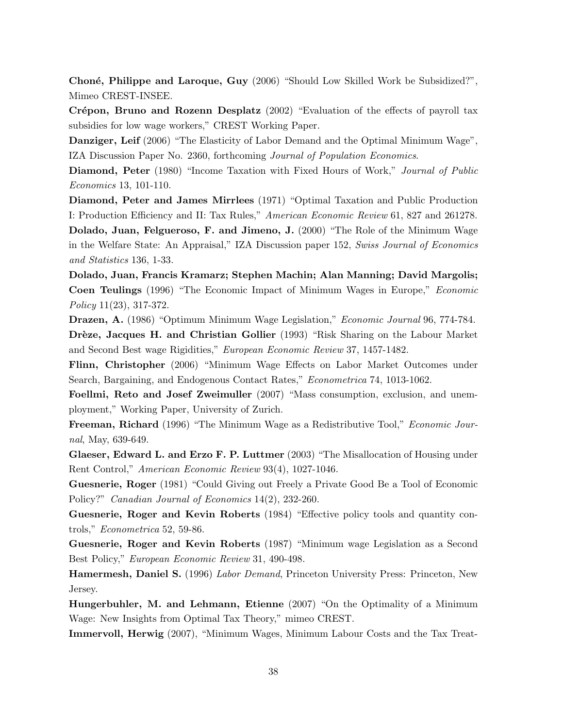Choné, Philippe and Laroque, Guy (2006) "Should Low Skilled Work be Subsidized?", Mimeo CREST-INSEE.

Crépon, Bruno and Rozenn Desplatz (2002) "Evaluation of the effects of payroll tax subsidies for low wage workers," CREST Working Paper.

Danziger, Leif (2006) "The Elasticity of Labor Demand and the Optimal Minimum Wage", IZA Discussion Paper No. 2360, forthcoming Journal of Population Economics.

Diamond, Peter (1980) "Income Taxation with Fixed Hours of Work," Journal of Public Economics 13, 101-110.

Diamond, Peter and James Mirrlees (1971) "Optimal Taxation and Public Production I: Production Efficiency and II: Tax Rules," American Economic Review 61, 827 and 261278. Dolado, Juan, Felgueroso, F. and Jimeno, J. (2000) "The Role of the Minimum Wage in the Welfare State: An Appraisal," IZA Discussion paper 152, Swiss Journal of Economics and Statistics 136, 1-33.

Dolado, Juan, Francis Kramarz; Stephen Machin; Alan Manning; David Margolis; Coen Teulings (1996) "The Economic Impact of Minimum Wages in Europe," Economic Policy 11(23), 317-372.

Drazen, A. (1986) "Optimum Minimum Wage Legislation," Economic Journal 96, 774-784. Drèze, Jacques H. and Christian Gollier (1993) "Risk Sharing on the Labour Market and Second Best wage Rigidities," European Economic Review 37, 1457-1482.

Flinn, Christopher (2006) "Minimum Wage Effects on Labor Market Outcomes under Search, Bargaining, and Endogenous Contact Rates," Econometrica 74, 1013-1062.

Foellmi, Reto and Josef Zweimuller (2007) "Mass consumption, exclusion, and unemployment," Working Paper, University of Zurich.

Freeman, Richard (1996) "The Minimum Wage as a Redistributive Tool," Economic Journal, May, 639-649.

Glaeser, Edward L. and Erzo F. P. Luttmer (2003) "The Misallocation of Housing under Rent Control," American Economic Review 93(4), 1027-1046.

Guesnerie, Roger (1981) "Could Giving out Freely a Private Good Be a Tool of Economic Policy?" Canadian Journal of Economics 14(2), 232-260.

Guesnerie, Roger and Kevin Roberts (1984) "Effective policy tools and quantity controls," Econometrica 52, 59-86.

Guesnerie, Roger and Kevin Roberts (1987) "Minimum wage Legislation as a Second Best Policy," European Economic Review 31, 490-498.

Hamermesh, Daniel S. (1996) Labor Demand, Princeton University Press: Princeton, New Jersey.

Hungerbuhler, M. and Lehmann, Etienne (2007) "On the Optimality of a Minimum Wage: New Insights from Optimal Tax Theory," mimeo CREST.

Immervoll, Herwig (2007), "Minimum Wages, Minimum Labour Costs and the Tax Treat-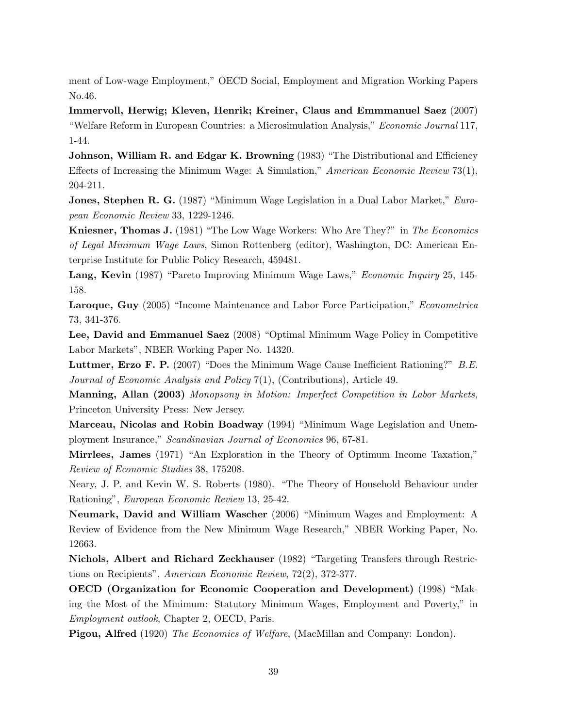ment of Low-wage Employment," OECD Social, Employment and Migration Working Papers No.46.

Immervoll, Herwig; Kleven, Henrik; Kreiner, Claus and Emmmanuel Saez (2007) "Welfare Reform in European Countries: a Microsimulation Analysis," Economic Journal 117, 1-44.

Johnson, William R. and Edgar K. Browning (1983) "The Distributional and Efficiency Effects of Increasing the Minimum Wage: A Simulation," American Economic Review 73(1), 204-211.

Jones, Stephen R. G. (1987) "Minimum Wage Legislation in a Dual Labor Market," European Economic Review 33, 1229-1246.

Kniesner, Thomas J. (1981) "The Low Wage Workers: Who Are They?" in The Economics of Legal Minimum Wage Laws, Simon Rottenberg (editor), Washington, DC: American Enterprise Institute for Public Policy Research, 459481.

Lang, Kevin (1987) "Pareto Improving Minimum Wage Laws," Economic Inquiry 25, 145- 158.

Laroque, Guy (2005) "Income Maintenance and Labor Force Participation," Econometrica 73, 341-376.

Lee, David and Emmanuel Saez (2008) "Optimal Minimum Wage Policy in Competitive Labor Markets", NBER Working Paper No. 14320.

Luttmer, Erzo F. P. (2007) "Does the Minimum Wage Cause Inefficient Rationing?" B.E. Journal of Economic Analysis and Policy 7(1), (Contributions), Article 49.

Manning, Allan (2003) Monopsony in Motion: Imperfect Competition in Labor Markets, Princeton University Press: New Jersey.

Marceau, Nicolas and Robin Boadway (1994) "Minimum Wage Legislation and Unemployment Insurance," Scandinavian Journal of Economics 96, 67-81.

Mirrlees, James (1971) "An Exploration in the Theory of Optimum Income Taxation," Review of Economic Studies 38, 175208.

Neary, J. P. and Kevin W. S. Roberts (1980). "The Theory of Household Behaviour under Rationing", European Economic Review 13, 25-42.

Neumark, David and William Wascher (2006) "Minimum Wages and Employment: A Review of Evidence from the New Minimum Wage Research," NBER Working Paper, No. 12663.

Nichols, Albert and Richard Zeckhauser (1982) "Targeting Transfers through Restrictions on Recipients", American Economic Review, 72(2), 372-377.

OECD (Organization for Economic Cooperation and Development) (1998) "Making the Most of the Minimum: Statutory Minimum Wages, Employment and Poverty," in Employment outlook, Chapter 2, OECD, Paris.

Pigou, Alfred (1920) The Economics of Welfare, (MacMillan and Company: London).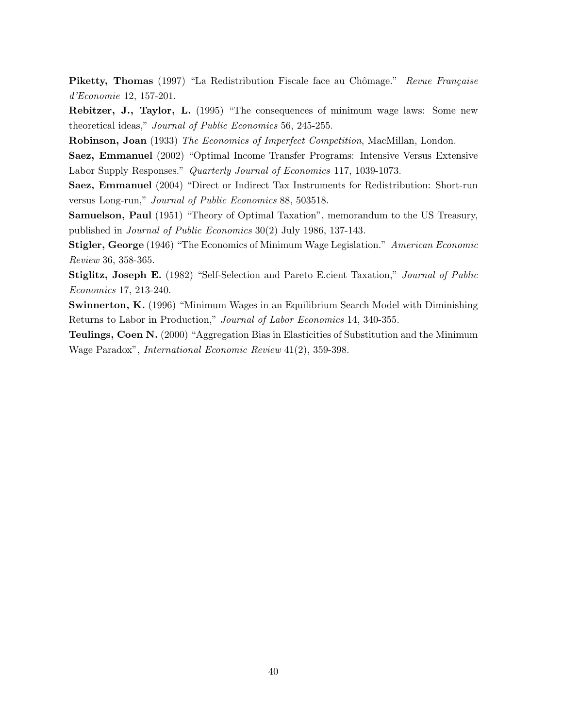Piketty, Thomas (1997) "La Redistribution Fiscale face au Chômage." Revue Française d'Economie 12, 157-201.

Rebitzer, J., Taylor, L. (1995) "The consequences of minimum wage laws: Some new theoretical ideas," Journal of Public Economics 56, 245-255.

Robinson, Joan (1933) The Economics of Imperfect Competition, MacMillan, London.

Saez, Emmanuel (2002) "Optimal Income Transfer Programs: Intensive Versus Extensive Labor Supply Responses." Quarterly Journal of Economics 117, 1039-1073.

Saez, Emmanuel (2004) "Direct or Indirect Tax Instruments for Redistribution: Short-run versus Long-run," Journal of Public Economics 88, 503518.

Samuelson, Paul (1951) "Theory of Optimal Taxation", memorandum to the US Treasury, published in Journal of Public Economics 30(2) July 1986, 137-143.

Stigler, George (1946) "The Economics of Minimum Wage Legislation." American Economic Review 36, 358-365.

Stiglitz, Joseph E. (1982) "Self-Selection and Pareto E.cient Taxation," Journal of Public Economics 17, 213-240.

Swinnerton, K. (1996) "Minimum Wages in an Equilibrium Search Model with Diminishing Returns to Labor in Production," Journal of Labor Economics 14, 340-355.

Teulings, Coen N. (2000) "Aggregation Bias in Elasticities of Substitution and the Minimum Wage Paradox", International Economic Review 41(2), 359-398.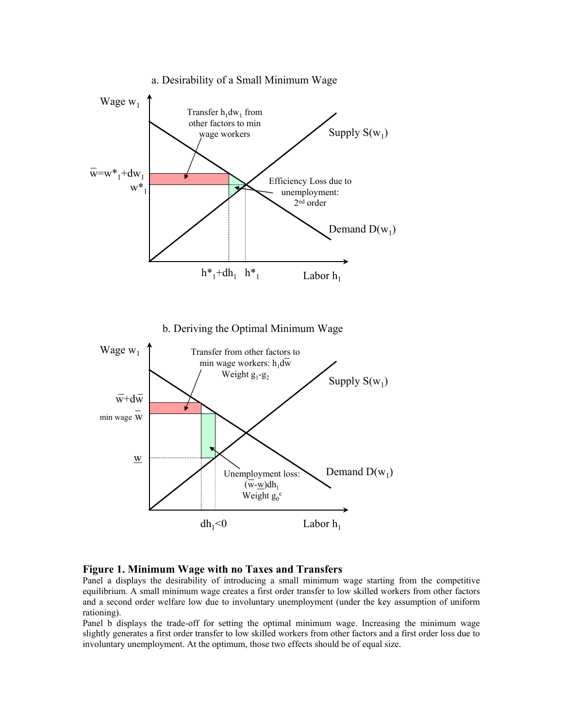

# a. Desirability of a Small Minimum Wage

# **Figure 1. Minimum Wage with no Taxes and Transfers**

Panel a displays the desirability of introducing a small minimum wage starting from the competitive equilibrium. A small minimum wage creates a first order transfer to low skilled workers from other factors and a second order welfare low due to involuntary unemployment (under the key assumption of uniform rationing).

Panel b displays the trade-off for setting the optimal minimum wage. Increasing the minimum wage slightly generates a first order transfer to low skilled workers from other factors and a first order loss due to involuntary unemployment. At the optimum, those two effects should be of equal size.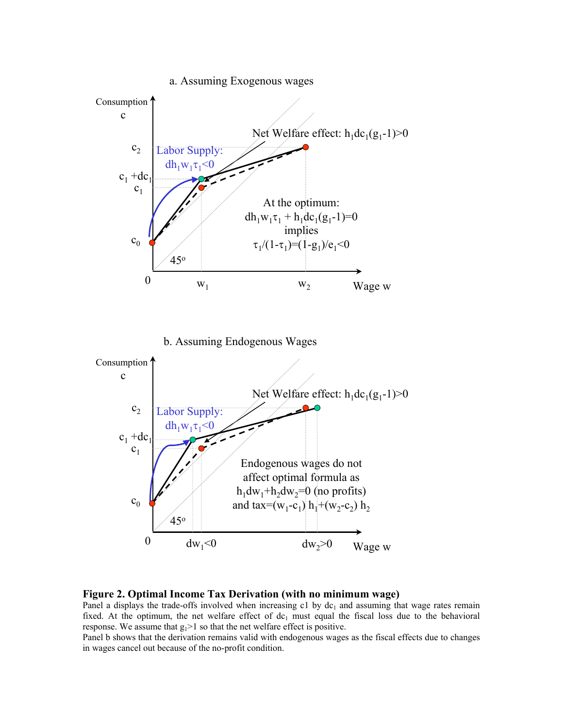

# **Figure 2. Optimal Income Tax Derivation (with no minimum wage)**

Panel a displays the trade-offs involved when increasing c1 by  $dc<sub>1</sub>$  and assuming that wage rates remain fixed. At the optimum, the net welfare effect of  $dc<sub>1</sub>$  must equal the fiscal loss due to the behavioral response. We assume that  $g_1$ >1 so that the net welfare effect is positive.

Panel b shows that the derivation remains valid with endogenous wages as the fiscal effects due to changes in wages cancel out because of the no-profit condition.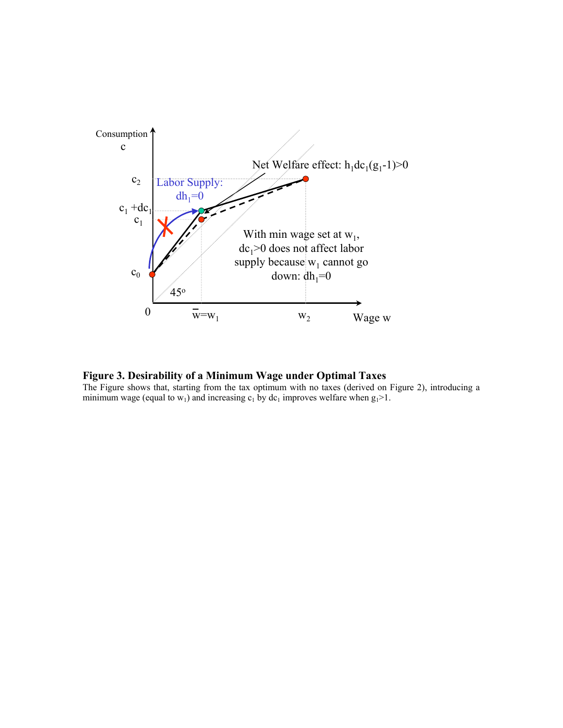

**Figure 3. Desirability of a Minimum Wage under Optimal Taxes** 

The Figure shows that, starting from the tax optimum with no taxes (derived on Figure 2), introducing a minimum wage (equal to  $w_1$ ) and increasing  $c_1$  by dc<sub>1</sub> improves welfare when  $g_1$ >1.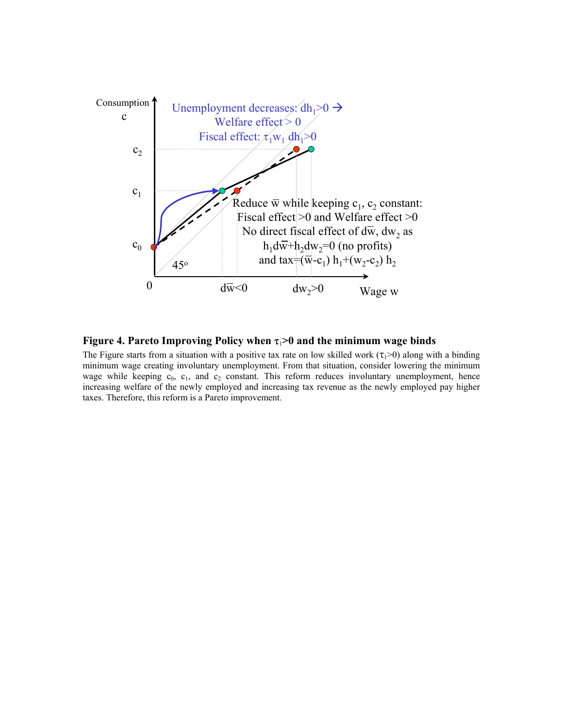

**Figure 4. Pareto Improving Policy when** τ1**>0 and the minimum wage binds** 

The Figure starts from a situation with a positive tax rate on low skilled work ( $\tau_1$ >0) along with a binding minimum wage creating involuntary unemployment. From that situation, consider lowering the minimum wage while keeping  $c_0$ ,  $c_1$ , and  $c_2$  constant. This reform reduces involuntary unemployment, hence increasing welfare of the newly employed and increasing tax revenue as the newly employed pay higher taxes. Therefore, this reform is a Pareto improvement.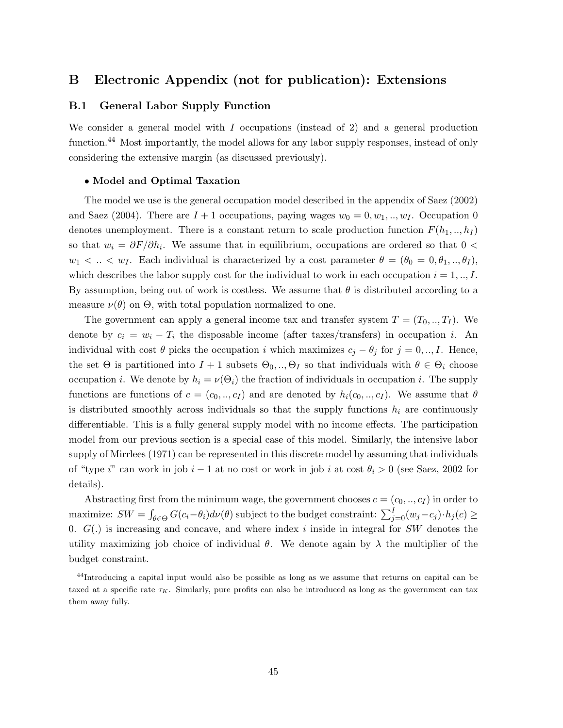# B Electronic Appendix (not for publication): Extensions

# B.1 General Labor Supply Function

We consider a general model with  $I$  occupations (instead of 2) and a general production function.<sup>44</sup> Most importantly, the model allows for any labor supply responses, instead of only considering the extensive margin (as discussed previously).

#### • Model and Optimal Taxation

The model we use is the general occupation model described in the appendix of Saez (2002) and Saez (2004). There are  $I + 1$  occupations, paying wages  $w_0 = 0, w_1, ..., w_I$ . Occupation 0 denotes unemployment. There is a constant return to scale production function  $F(h_1, ..., h_I)$ so that  $w_i = \partial F / \partial h_i$ . We assume that in equilibrium, occupations are ordered so that 0 <  $w_1 < ... < w_I$ . Each individual is characterized by a cost parameter  $\theta = (\theta_0 = 0, \theta_1, ..., \theta_I)$ , which describes the labor supply cost for the individual to work in each occupation  $i = 1, ..., I$ . By assumption, being out of work is costless. We assume that  $\theta$  is distributed according to a measure  $\nu(\theta)$  on  $\Theta$ , with total population normalized to one.

The government can apply a general income tax and transfer system  $T = (T_0, ..., T_I)$ . We denote by  $c_i = w_i - T_i$  the disposable income (after taxes/transfers) in occupation i. An individual with cost  $\theta$  picks the occupation i which maximizes  $c_j - \theta_j$  for  $j = 0, ..., I$ . Hence, the set  $\Theta$  is partitioned into  $I + 1$  subsets  $\Theta_0, ..., \Theta_I$  so that individuals with  $\theta \in \Theta_i$  choose occupation i. We denote by  $h_i = \nu(\Theta_i)$  the fraction of individuals in occupation i. The supply functions are functions of  $c = (c_0, ..., c_I)$  and are denoted by  $h_i(c_0, ..., c_I)$ . We assume that  $\theta$ is distributed smoothly across individuals so that the supply functions  $h_i$  are continuously differentiable. This is a fully general supply model with no income effects. The participation model from our previous section is a special case of this model. Similarly, the intensive labor supply of Mirrlees (1971) can be represented in this discrete model by assuming that individuals of "type i" can work in job i − 1 at no cost or work in job i at cost  $\theta_i > 0$  (see Saez, 2002 for details).

Abstracting first from the minimum wage, the government chooses  $c = (c_0, ..., c_I)$  in order to maximize:  $SW = \int_{\theta \in \Theta} G(c_i - \theta_i) d\nu(\theta)$  subject to the budget constraint:  $\sum_{j=0}^{I} (w_j - c_j) \cdot h_j(c) \ge$ 0.  $G(.)$  is increasing and concave, and where index i inside in integral for SW denotes the utility maximizing job choice of individual  $\theta$ . We denote again by  $\lambda$  the multiplier of the budget constraint.

<sup>44</sup>Introducing a capital input would also be possible as long as we assume that returns on capital can be taxed at a specific rate  $\tau_K$ . Similarly, pure profits can also be introduced as long as the government can tax them away fully.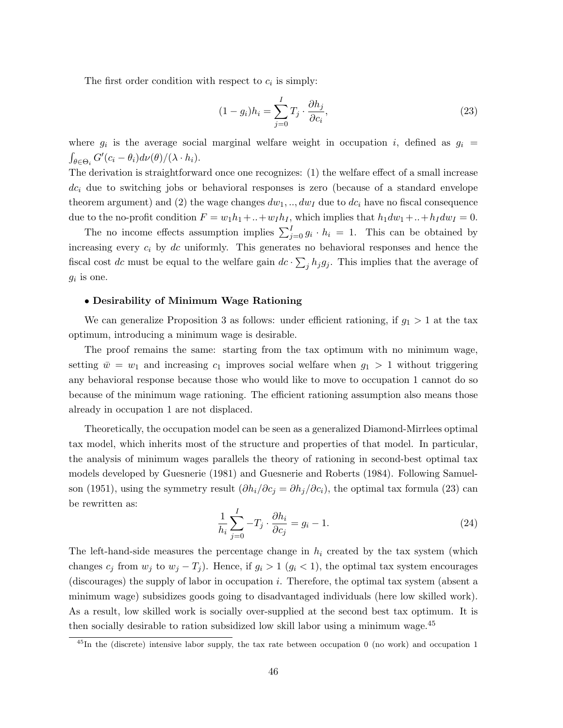The first order condition with respect to  $c_i$  is simply:

$$
(1 - g_i)h_i = \sum_{j=0}^{I} T_j \cdot \frac{\partial h_j}{\partial c_i},\tag{23}
$$

where  $g_i$  is the average social marginal welfare weight in occupation i, defined as  $g_i =$  $\int_{\theta \in \Theta_i} G'(c_i - \theta_i) d\nu(\theta) / (\lambda \cdot h_i).$ 

The derivation is straightforward once one recognizes: (1) the welfare effect of a small increase  $dc<sub>i</sub>$  due to switching jobs or behavioral responses is zero (because of a standard envelope theorem argument) and (2) the wage changes  $dw_1, ..., dw_I$  due to  $dc_i$  have no fiscal consequence due to the no-profit condition  $F = w_1h_1 + ... + w_Ih_I$ , which implies that  $h_1dw_1 + ... + h_Idw_I = 0$ .

The no income effects assumption implies  $\sum_{j=0}^{I} g_i \cdot h_i = 1$ . This can be obtained by increasing every  $c_i$  by  $dc$  uniformly. This generates no behavioral responses and hence the fiscal cost dc must be equal to the welfare gain  $dc \cdot \sum_j h_j g_j$ . This implies that the average of  $g_i$  is one.

#### • Desirability of Minimum Wage Rationing

We can generalize Proposition 3 as follows: under efficient rationing, if  $g_1 > 1$  at the tax optimum, introducing a minimum wage is desirable.

The proof remains the same: starting from the tax optimum with no minimum wage, setting  $\bar{w} = w_1$  and increasing  $c_1$  improves social welfare when  $g_1 > 1$  without triggering any behavioral response because those who would like to move to occupation 1 cannot do so because of the minimum wage rationing. The efficient rationing assumption also means those already in occupation 1 are not displaced.

Theoretically, the occupation model can be seen as a generalized Diamond-Mirrlees optimal tax model, which inherits most of the structure and properties of that model. In particular, the analysis of minimum wages parallels the theory of rationing in second-best optimal tax models developed by Guesnerie (1981) and Guesnerie and Roberts (1984). Following Samuelson (1951), using the symmetry result  $(\partial h_i/\partial c_j = \partial h_j/\partial c_i)$ , the optimal tax formula (23) can be rewritten as:

$$
\frac{1}{h_i} \sum_{j=0}^{I} -T_j \cdot \frac{\partial h_i}{\partial c_j} = g_i - 1.
$$
\n(24)

The left-hand-side measures the percentage change in  $h_i$  created by the tax system (which changes  $c_j$  from  $w_j$  to  $w_j - T_j$ ). Hence, if  $g_i > 1$  ( $g_i < 1$ ), the optimal tax system encourages (discourages) the supply of labor in occupation i. Therefore, the optimal tax system (absent a minimum wage) subsidizes goods going to disadvantaged individuals (here low skilled work). As a result, low skilled work is socially over-supplied at the second best tax optimum. It is then socially desirable to ration subsidized low skill labor using a minimum wage.<sup>45</sup>

 $^{45}$ In the (discrete) intensive labor supply, the tax rate between occupation 0 (no work) and occupation 1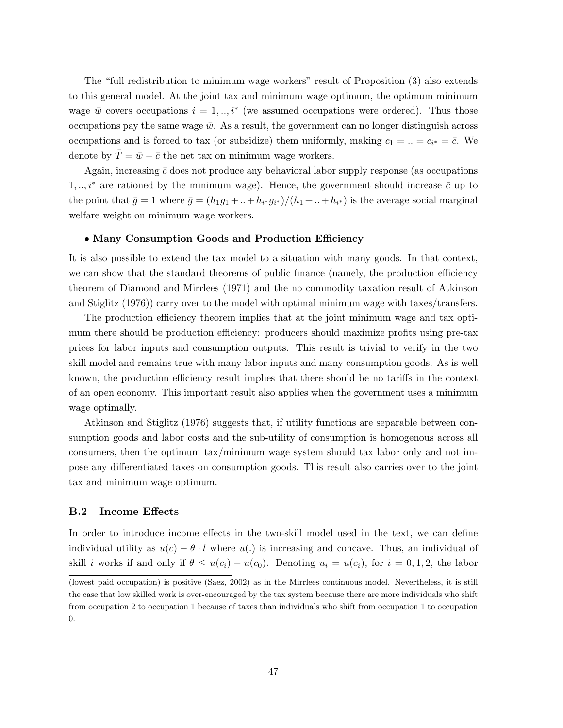The "full redistribution to minimum wage workers" result of Proposition (3) also extends to this general model. At the joint tax and minimum wage optimum, the optimum minimum wage  $\bar{w}$  covers occupations  $i = 1, \ldots, i^*$  (we assumed occupations were ordered). Thus those occupations pay the same wage  $\bar{w}$ . As a result, the government can no longer distinguish across occupations and is forced to tax (or subsidize) them uniformly, making  $c_1 = ... = c_{i^*} = \overline{c}$ . We denote by  $T = \bar{w} - \bar{c}$  the net tax on minimum wage workers.

Again, increasing  $\bar{c}$  does not produce any behavioral labor supply response (as occupations 1, .., i<sup>\*</sup> are rationed by the minimum wage). Hence, the government should increase  $\bar{c}$  up to the point that  $\bar{g} = 1$  where  $\bar{g} = (h_1g_1 + ... + h_{i^*}g_{i^*})/(h_1 + ... + h_{i^*})$  is the average social marginal welfare weight on minimum wage workers.

#### • Many Consumption Goods and Production Efficiency

It is also possible to extend the tax model to a situation with many goods. In that context, we can show that the standard theorems of public finance (namely, the production efficiency theorem of Diamond and Mirrlees (1971) and the no commodity taxation result of Atkinson and Stiglitz (1976)) carry over to the model with optimal minimum wage with taxes/transfers.

The production efficiency theorem implies that at the joint minimum wage and tax optimum there should be production efficiency: producers should maximize profits using pre-tax prices for labor inputs and consumption outputs. This result is trivial to verify in the two skill model and remains true with many labor inputs and many consumption goods. As is well known, the production efficiency result implies that there should be no tariffs in the context of an open economy. This important result also applies when the government uses a minimum wage optimally.

Atkinson and Stiglitz (1976) suggests that, if utility functions are separable between consumption goods and labor costs and the sub-utility of consumption is homogenous across all consumers, then the optimum tax/minimum wage system should tax labor only and not impose any differentiated taxes on consumption goods. This result also carries over to the joint tax and minimum wage optimum.

### B.2 Income Effects

In order to introduce income effects in the two-skill model used in the text, we can define individual utility as  $u(c) - \theta \cdot l$  where  $u(.)$  is increasing and concave. Thus, an individual of skill *i* works if and only if  $\theta \leq u(c_i) - u(c_0)$ . Denoting  $u_i = u(c_i)$ , for  $i = 0, 1, 2$ , the labor

<sup>(</sup>lowest paid occupation) is positive (Saez, 2002) as in the Mirrlees continuous model. Nevertheless, it is still the case that low skilled work is over-encouraged by the tax system because there are more individuals who shift from occupation 2 to occupation 1 because of taxes than individuals who shift from occupation 1 to occupation 0.